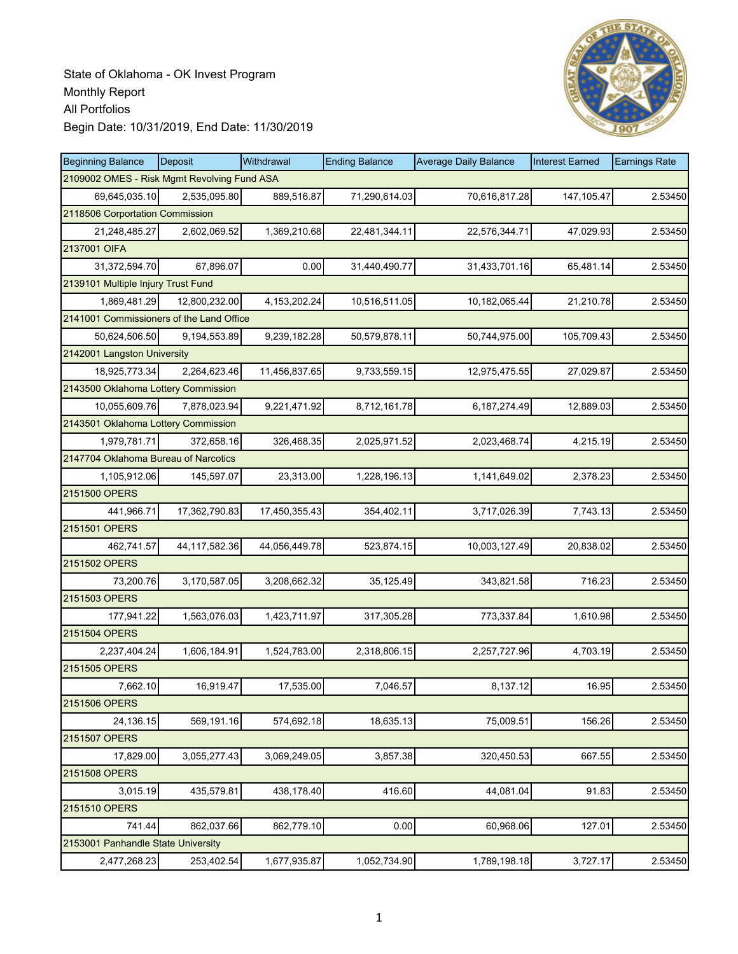

| <b>Beginning Balance</b>                    | Deposit       | Withdrawal      | <b>Ending Balance</b> | <b>Average Daily Balance</b> | <b>Interest Earned</b> | <b>Earnings Rate</b> |
|---------------------------------------------|---------------|-----------------|-----------------------|------------------------------|------------------------|----------------------|
| 2109002 OMES - Risk Mgmt Revolving Fund ASA |               |                 |                       |                              |                        |                      |
| 69,645,035.10                               | 2,535,095.80  | 889,516.87      | 71,290,614.03         | 70,616,817.28                | 147,105.47             | 2.53450              |
| 2118506 Corportation Commission             |               |                 |                       |                              |                        |                      |
| 21,248,485.27                               | 2,602,069.52  | 1,369,210.68    | 22,481,344.11         | 22,576,344.71                | 47,029.93              | 2.53450              |
| 2137001 OIFA                                |               |                 |                       |                              |                        |                      |
| 31,372,594.70                               | 67,896.07     | 0.00            | 31,440,490.77         | 31,433,701.16                | 65,481.14              | 2.53450              |
| 2139101 Multiple Injury Trust Fund          |               |                 |                       |                              |                        |                      |
| 1,869,481.29                                | 12,800,232.00 | 4, 153, 202. 24 | 10,516,511.05         | 10,182,065.44                | 21,210.78              | 2.53450              |
| 2141001 Commissioners of the Land Office    |               |                 |                       |                              |                        |                      |
| 50,624,506.50                               | 9,194,553.89  | 9,239,182.28    | 50,579,878.11         | 50,744,975.00                | 105,709.43             | 2.53450              |
| 2142001 Langston University                 |               |                 |                       |                              |                        |                      |
| 18,925,773.34                               | 2,264,623.46  | 11,456,837.65   | 9,733,559.15          | 12,975,475.55                | 27,029.87              | 2.53450              |
| 2143500 Oklahoma Lottery Commission         |               |                 |                       |                              |                        |                      |
| 10,055,609.76                               | 7,878,023.94  | 9,221,471.92    | 8,712,161.78          | 6,187,274.49                 | 12,889.03              | 2.53450              |
| 2143501 Oklahoma Lottery Commission         |               |                 |                       |                              |                        |                      |
| 1,979,781.71                                | 372,658.16    | 326,468.35      | 2,025,971.52          | 2,023,468.74                 | 4,215.19               | 2.53450              |
| 2147704 Oklahoma Bureau of Narcotics        |               |                 |                       |                              |                        |                      |
| 1,105,912.06                                | 145,597.07    | 23,313.00       | 1,228,196.13          | 1,141,649.02                 | 2,378.23               | 2.53450              |
| 2151500 OPERS                               |               |                 |                       |                              |                        |                      |
| 441,966.71                                  | 17,362,790.83 | 17,450,355.43   | 354,402.11            | 3,717,026.39                 | 7,743.13               | 2.53450              |
| 2151501 OPERS                               |               |                 |                       |                              |                        |                      |
| 462,741.57                                  | 44,117,582.36 | 44,056,449.78   | 523,874.15            | 10,003,127.49                | 20,838.02              | 2.53450              |
| 2151502 OPERS                               |               |                 |                       |                              |                        |                      |
| 73,200.76                                   | 3,170,587.05  | 3,208,662.32    | 35,125.49             | 343,821.58                   | 716.23                 | 2.53450              |
| 2151503 OPERS                               |               |                 |                       |                              |                        |                      |
| 177,941.22                                  | 1,563,076.03  | 1,423,711.97    | 317,305.28            | 773,337.84                   | 1,610.98               | 2.53450              |
| 2151504 OPERS                               |               |                 |                       |                              |                        |                      |
| 2,237,404.24                                | 1,606,184.91  | 1,524,783.00    | 2,318,806.15          | 2,257,727.96                 | 4,703.19               | 2.53450              |
| 2151505 OPERS                               |               |                 |                       |                              |                        |                      |
| 7,662.10                                    | 16,919.47     | 17,535.00       | 7,046.57              | 8,137.12                     | 16.95                  | 2.53450              |
| 2151506 OPERS                               |               |                 |                       |                              |                        |                      |
| 24,136.15                                   | 569,191.16    | 574,692.18      | 18,635.13             | 75,009.51                    | 156.26                 | 2.53450              |
| 2151507 OPERS                               |               |                 |                       |                              |                        |                      |
| 17,829.00                                   | 3,055,277.43  | 3,069,249.05    | 3,857.38              | 320,450.53                   | 667.55                 | 2.53450              |
| 2151508 OPERS                               |               |                 |                       |                              |                        |                      |
| 3,015.19                                    | 435,579.81    | 438,178.40      | 416.60                | 44,081.04                    | 91.83                  | 2.53450              |
| 2151510 OPERS                               |               |                 |                       |                              |                        |                      |
| 741.44                                      | 862,037.66    | 862,779.10      | 0.00                  | 60,968.06                    | 127.01                 | 2.53450              |
| 2153001 Panhandle State University          |               |                 |                       |                              |                        |                      |
| 2,477,268.23                                | 253,402.54    | 1,677,935.87    | 1,052,734.90          | 1,789,198.18                 | 3,727.17               | 2.53450              |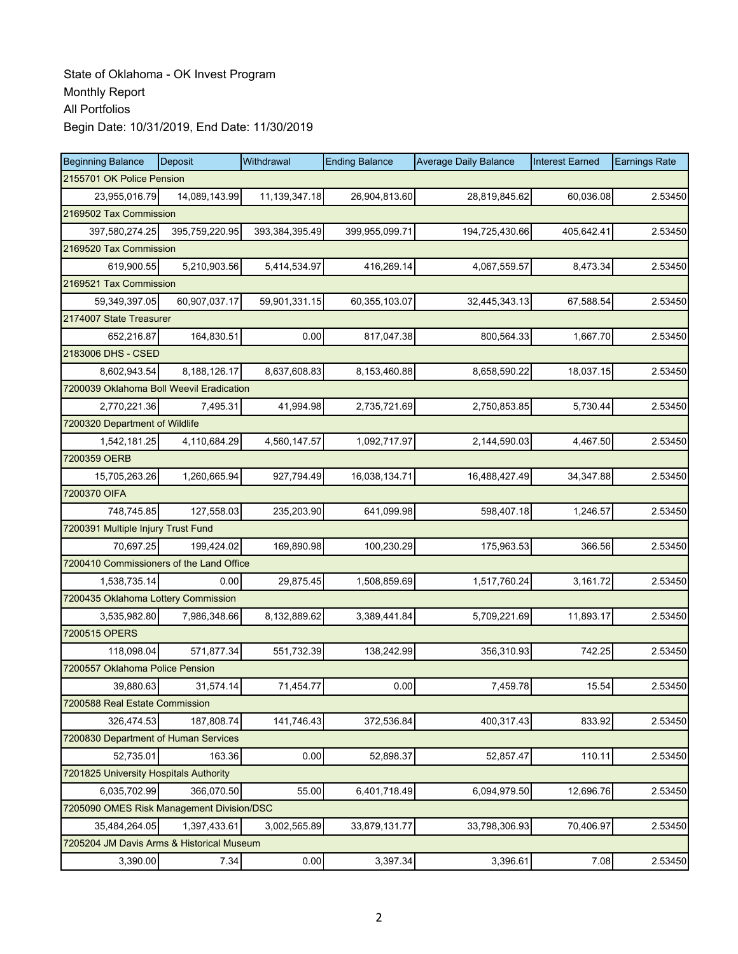| <b>Beginning Balance</b>                  | Deposit        | Withdrawal     | <b>Ending Balance</b> | <b>Average Daily Balance</b> | <b>Interest Earned</b> | <b>Earnings Rate</b> |  |  |
|-------------------------------------------|----------------|----------------|-----------------------|------------------------------|------------------------|----------------------|--|--|
| 2155701 OK Police Pension                 |                |                |                       |                              |                        |                      |  |  |
| 23,955,016.79                             | 14,089,143.99  | 11,139,347.18  | 26,904,813.60         | 28,819,845.62                | 60,036.08              | 2.53450              |  |  |
| 2169502 Tax Commission                    |                |                |                       |                              |                        |                      |  |  |
| 397,580,274.25                            | 395,759,220.95 | 393,384,395.49 | 399,955,099.71        | 194,725,430.66               | 405,642.41             | 2.53450              |  |  |
| 2169520 Tax Commission                    |                |                |                       |                              |                        |                      |  |  |
| 619,900.55                                | 5,210,903.56   | 5,414,534.97   | 416,269.14            | 4,067,559.57                 | 8,473.34               | 2.53450              |  |  |
| 2169521 Tax Commission                    |                |                |                       |                              |                        |                      |  |  |
| 59,349,397.05                             | 60,907,037.17  | 59,901,331.15  | 60,355,103.07         | 32,445,343.13                | 67,588.54              | 2.53450              |  |  |
| 2174007 State Treasurer                   |                |                |                       |                              |                        |                      |  |  |
| 652,216.87                                | 164,830.51     | 0.00           | 817,047.38            | 800,564.33                   | 1,667.70               | 2.53450              |  |  |
| 2183006 DHS - CSED                        |                |                |                       |                              |                        |                      |  |  |
| 8,602,943.54                              | 8,188,126.17   | 8,637,608.83   | 8,153,460.88          | 8,658,590.22                 | 18,037.15              | 2.53450              |  |  |
| 7200039 Oklahoma Boll Weevil Eradication  |                |                |                       |                              |                        |                      |  |  |
| 2,770,221.36                              | 7,495.31       | 41,994.98      | 2,735,721.69          | 2,750,853.85                 | 5,730.44               | 2.53450              |  |  |
| 7200320 Department of Wildlife            |                |                |                       |                              |                        |                      |  |  |
| 1,542,181.25                              | 4,110,684.29   | 4,560,147.57   | 1,092,717.97          | 2,144,590.03                 | 4,467.50               | 2.53450              |  |  |
| 7200359 OERB                              |                |                |                       |                              |                        |                      |  |  |
| 15,705,263.26                             | 1,260,665.94   | 927,794.49     | 16,038,134.71         | 16,488,427.49                | 34,347.88              | 2.53450              |  |  |
| 7200370 OIFA                              |                |                |                       |                              |                        |                      |  |  |
| 748,745.85                                | 127,558.03     | 235,203.90     | 641,099.98            | 598,407.18                   | 1,246.57               | 2.53450              |  |  |
| 7200391 Multiple Injury Trust Fund        |                |                |                       |                              |                        |                      |  |  |
| 70,697.25                                 | 199,424.02     | 169,890.98     | 100,230.29            | 175,963.53                   | 366.56                 | 2.53450              |  |  |
| 7200410 Commissioners of the Land Office  |                |                |                       |                              |                        |                      |  |  |
| 1,538,735.14                              | 0.00           | 29,875.45      | 1,508,859.69          | 1,517,760.24                 | 3,161.72               | 2.53450              |  |  |
| 7200435 Oklahoma Lottery Commission       |                |                |                       |                              |                        |                      |  |  |
| 3,535,982.80                              | 7,986,348.66   | 8,132,889.62   | 3,389,441.84          | 5,709,221.69                 | 11,893.17              | 2.53450              |  |  |
| 7200515 OPERS                             |                |                |                       |                              |                        |                      |  |  |
| 118,098.04                                | 571,877.34     | 551,732.39     | 138,242.99            | 356,310.93                   | 742.25                 | 2.53450              |  |  |
| 7200557 Oklahoma Police Pension           |                |                |                       |                              |                        |                      |  |  |
| 39,880.63                                 | 31,574.14      | 71,454.77      | 0.00                  | 7,459.78                     | 15.54                  | 2.53450              |  |  |
| 7200588 Real Estate Commission            |                |                |                       |                              |                        |                      |  |  |
| 326,474.53                                | 187,808.74     | 141,746.43     | 372,536.84            | 400,317.43                   | 833.92                 | 2.53450              |  |  |
| 7200830 Department of Human Services      |                |                |                       |                              |                        |                      |  |  |
| 52,735.01                                 | 163.36         | 0.00           | 52,898.37             | 52,857.47                    | 110.11                 | 2.53450              |  |  |
| 7201825 University Hospitals Authority    |                |                |                       |                              |                        |                      |  |  |
| 6,035,702.99                              | 366,070.50     | 55.00          | 6,401,718.49          | 6,094,979.50                 | 12,696.76              | 2.53450              |  |  |
| 7205090 OMES Risk Management Division/DSC |                |                |                       |                              |                        |                      |  |  |
| 35,484,264.05                             | 1,397,433.61   | 3,002,565.89   | 33,879,131.77         | 33,798,306.93                | 70,406.97              | 2.53450              |  |  |
| 7205204 JM Davis Arms & Historical Museum |                |                |                       |                              |                        |                      |  |  |
| 3,390.00                                  | 7.34           | 0.00           | 3,397.34              | 3,396.61                     | 7.08                   | 2.53450              |  |  |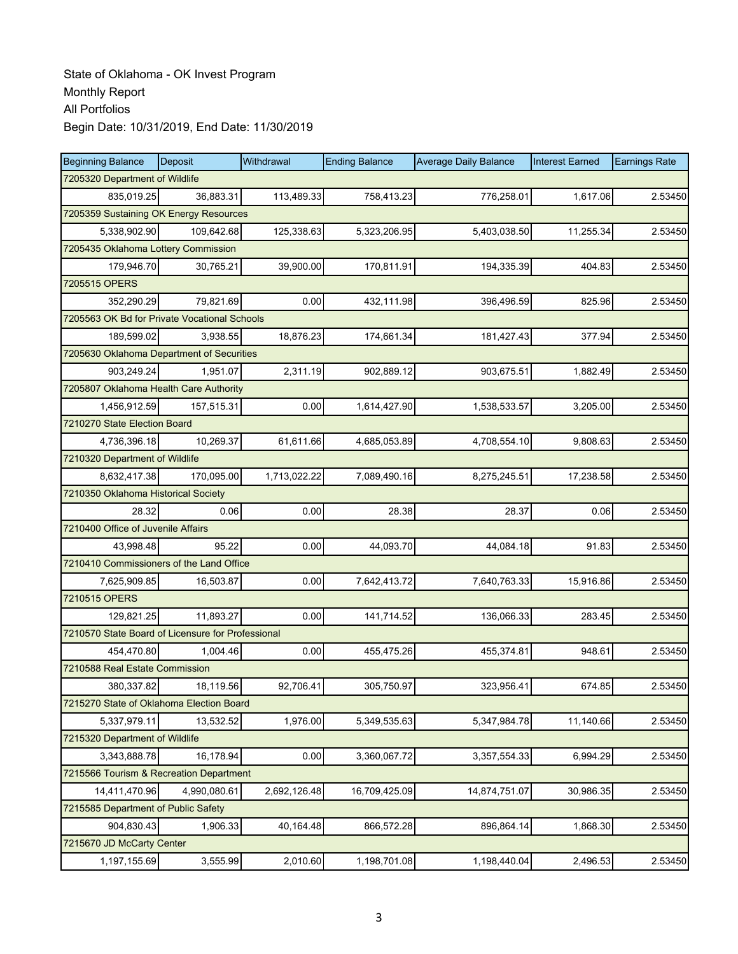| <b>Beginning Balance</b>                          | Deposit      | Withdrawal   | <b>Ending Balance</b> | <b>Average Daily Balance</b> | <b>Interest Earned</b> | <b>Earnings Rate</b> |  |  |  |
|---------------------------------------------------|--------------|--------------|-----------------------|------------------------------|------------------------|----------------------|--|--|--|
| 7205320 Department of Wildlife                    |              |              |                       |                              |                        |                      |  |  |  |
| 835.019.25                                        | 36,883.31    | 113,489.33   | 758,413.23            | 776,258.01                   | 1,617.06               | 2.53450              |  |  |  |
| 7205359 Sustaining OK Energy Resources            |              |              |                       |                              |                        |                      |  |  |  |
| 5,338,902.90                                      | 109,642.68   | 125,338.63   | 5,323,206.95          | 5,403,038.50                 | 11,255.34              | 2.53450              |  |  |  |
| 7205435 Oklahoma Lottery Commission               |              |              |                       |                              |                        |                      |  |  |  |
| 179,946.70                                        | 30,765.21    | 39,900.00    | 170,811.91            | 194,335.39                   | 404.83                 | 2.53450              |  |  |  |
| 7205515 OPERS                                     |              |              |                       |                              |                        |                      |  |  |  |
| 352.290.29                                        | 79,821.69    | 0.00         | 432,111.98            | 396,496.59                   | 825.96                 | 2.53450              |  |  |  |
| 7205563 OK Bd for Private Vocational Schools      |              |              |                       |                              |                        |                      |  |  |  |
| 189,599.02                                        | 3,938.55     | 18,876.23    | 174,661.34            | 181,427.43                   | 377.94                 | 2.53450              |  |  |  |
| 7205630 Oklahoma Department of Securities         |              |              |                       |                              |                        |                      |  |  |  |
| 903,249.24                                        | 1,951.07     | 2,311.19     | 902,889.12            | 903,675.51                   | 1,882.49               | 2.53450              |  |  |  |
| 7205807 Oklahoma Health Care Authority            |              |              |                       |                              |                        |                      |  |  |  |
| 1,456,912.59                                      | 157,515.31   | 0.00         | 1,614,427.90          | 1,538,533.57                 | 3,205.00               | 2.53450              |  |  |  |
| 7210270 State Election Board                      |              |              |                       |                              |                        |                      |  |  |  |
| 4,736,396.18                                      | 10,269.37    | 61,611.66    | 4,685,053.89          | 4,708,554.10                 | 9,808.63               | 2.53450              |  |  |  |
| 7210320 Department of Wildlife                    |              |              |                       |                              |                        |                      |  |  |  |
| 8,632,417.38                                      | 170,095.00   | 1,713,022.22 | 7,089,490.16          | 8,275,245.51                 | 17,238.58              | 2.53450              |  |  |  |
| 7210350 Oklahoma Historical Society               |              |              |                       |                              |                        |                      |  |  |  |
| 28.32                                             | 0.06         | 0.00         | 28.38                 | 28.37                        | 0.06                   | 2.53450              |  |  |  |
| 7210400 Office of Juvenile Affairs                |              |              |                       |                              |                        |                      |  |  |  |
| 43,998.48                                         | 95.22        | 0.00         | 44,093.70             | 44,084.18                    | 91.83                  | 2.53450              |  |  |  |
| 7210410 Commissioners of the Land Office          |              |              |                       |                              |                        |                      |  |  |  |
| 7,625,909.85                                      | 16,503.87    | 0.00         | 7,642,413.72          | 7,640,763.33                 | 15,916.86              | 2.53450              |  |  |  |
| 7210515 OPERS                                     |              |              |                       |                              |                        |                      |  |  |  |
| 129,821.25                                        | 11,893.27    | 0.00         | 141,714.52            | 136,066.33                   | 283.45                 | 2.53450              |  |  |  |
| 7210570 State Board of Licensure for Professional |              |              |                       |                              |                        |                      |  |  |  |
| 454,470.80                                        | 1,004.46     | 0.00         | 455,475.26            | 455,374.81                   | 948.61                 | 2.53450              |  |  |  |
| 7210588 Real Estate Commission                    |              |              |                       |                              |                        |                      |  |  |  |
| 380,337.82                                        | 18,119.56    | 92,706.41    | 305,750.97            | 323,956.41                   | 674.85                 | 2.53450              |  |  |  |
| 7215270 State of Oklahoma Election Board          |              |              |                       |                              |                        |                      |  |  |  |
| 5,337,979.11                                      | 13,532.52    | 1,976.00     | 5,349,535.63          | 5,347,984.78                 | 11,140.66              | 2.53450              |  |  |  |
| 7215320 Department of Wildlife                    |              |              |                       |                              |                        |                      |  |  |  |
| 3,343,888.78                                      | 16,178.94    | 0.00         | 3,360,067.72          | 3,357,554.33                 | 6,994.29               | 2.53450              |  |  |  |
| 7215566 Tourism & Recreation Department           |              |              |                       |                              |                        |                      |  |  |  |
| 14,411,470.96                                     | 4,990,080.61 | 2,692,126.48 | 16,709,425.09         | 14,874,751.07                | 30,986.35              | 2.53450              |  |  |  |
| 7215585 Department of Public Safety               |              |              |                       |                              |                        |                      |  |  |  |
| 904,830.43                                        | 1,906.33     | 40,164.48    | 866,572.28            | 896,864.14                   | 1,868.30               | 2.53450              |  |  |  |
| 7215670 JD McCarty Center                         |              |              |                       |                              |                        |                      |  |  |  |
| 1,197,155.69                                      | 3,555.99     | 2,010.60     | 1,198,701.08          | 1,198,440.04                 | 2,496.53               | 2.53450              |  |  |  |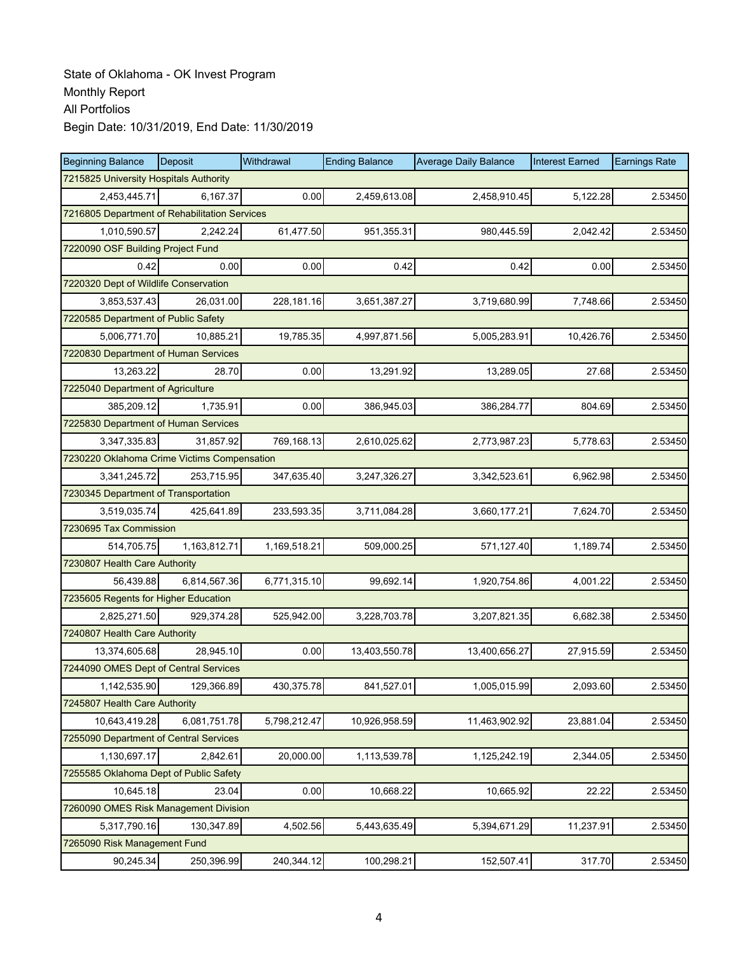| <b>Beginning Balance</b>                      | Deposit                                | Withdrawal   | <b>Ending Balance</b> | <b>Average Daily Balance</b> | <b>Interest Earned</b> | <b>Earnings Rate</b> |  |  |  |
|-----------------------------------------------|----------------------------------------|--------------|-----------------------|------------------------------|------------------------|----------------------|--|--|--|
|                                               | 7215825 University Hospitals Authority |              |                       |                              |                        |                      |  |  |  |
| 2,453,445.71                                  | 6,167.37                               | 0.00         | 2,459,613.08          | 2,458,910.45                 | 5,122.28               | 2.53450              |  |  |  |
| 7216805 Department of Rehabilitation Services |                                        |              |                       |                              |                        |                      |  |  |  |
| 1,010,590.57                                  | 2,242.24                               | 61,477.50    | 951,355.31            | 980,445.59                   | 2,042.42               | 2.53450              |  |  |  |
| 7220090 OSF Building Project Fund             |                                        |              |                       |                              |                        |                      |  |  |  |
| 0.42                                          | 0.00                                   | 0.00         | 0.42                  | 0.42                         | 0.00                   | 2.53450              |  |  |  |
| 7220320 Dept of Wildlife Conservation         |                                        |              |                       |                              |                        |                      |  |  |  |
| 3,853,537.43                                  | 26,031.00                              | 228,181.16   | 3,651,387.27          | 3,719,680.99                 | 7,748.66               | 2.53450              |  |  |  |
| 7220585 Department of Public Safety           |                                        |              |                       |                              |                        |                      |  |  |  |
| 5,006,771.70                                  | 10,885.21                              | 19,785.35    | 4,997,871.56          | 5,005,283.91                 | 10,426.76              | 2.53450              |  |  |  |
| 7220830 Department of Human Services          |                                        |              |                       |                              |                        |                      |  |  |  |
| 13,263.22                                     | 28.70                                  | 0.00         | 13,291.92             | 13,289.05                    | 27.68                  | 2.53450              |  |  |  |
| 7225040 Department of Agriculture             |                                        |              |                       |                              |                        |                      |  |  |  |
| 385,209.12                                    | 1,735.91                               | 0.00         | 386,945.03            | 386,284.77                   | 804.69                 | 2.53450              |  |  |  |
| 7225830 Department of Human Services          |                                        |              |                       |                              |                        |                      |  |  |  |
| 3,347,335.83                                  | 31,857.92                              | 769,168.13   | 2,610,025.62          | 2,773,987.23                 | 5,778.63               | 2.53450              |  |  |  |
| 7230220 Oklahoma Crime Victims Compensation   |                                        |              |                       |                              |                        |                      |  |  |  |
| 3,341,245.72                                  | 253,715.95                             | 347,635.40   | 3,247,326.27          | 3,342,523.61                 | 6,962.98               | 2.53450              |  |  |  |
| 7230345 Department of Transportation          |                                        |              |                       |                              |                        |                      |  |  |  |
| 3,519,035.74                                  | 425,641.89                             | 233,593.35   | 3,711,084.28          | 3,660,177.21                 | 7,624.70               | 2.53450              |  |  |  |
| 7230695 Tax Commission                        |                                        |              |                       |                              |                        |                      |  |  |  |
| 514,705.75                                    | 1,163,812.71                           | 1,169,518.21 | 509,000.25            | 571,127.40                   | 1,189.74               | 2.53450              |  |  |  |
| 7230807 Health Care Authority                 |                                        |              |                       |                              |                        |                      |  |  |  |
| 56,439.88                                     | 6,814,567.36                           | 6,771,315.10 | 99,692.14             | 1,920,754.86                 | 4,001.22               | 2.53450              |  |  |  |
| 7235605 Regents for Higher Education          |                                        |              |                       |                              |                        |                      |  |  |  |
| 2,825,271.50                                  | 929,374.28                             | 525,942.00   | 3,228,703.78          | 3,207,821.35                 | 6,682.38               | 2.53450              |  |  |  |
| 7240807 Health Care Authority                 |                                        |              |                       |                              |                        |                      |  |  |  |
| 13.374.605.68                                 | 28,945.10                              | 0.00         | 13,403,550.78         | 13,400,656.27                | 27,915.59              | 2.53450              |  |  |  |
| 7244090 OMES Dept of Central Services         |                                        |              |                       |                              |                        |                      |  |  |  |
| 1,142,535.90                                  | 129,366.89                             | 430,375.78   | 841,527.01            | 1,005,015.99                 | 2,093.60               | 2.53450              |  |  |  |
| 7245807 Health Care Authority                 |                                        |              |                       |                              |                        |                      |  |  |  |
| 10,643,419.28                                 | 6,081,751.78                           | 5,798,212.47 | 10,926,958.59         | 11,463,902.92                | 23,881.04              | 2.53450              |  |  |  |
| 7255090 Department of Central Services        |                                        |              |                       |                              |                        |                      |  |  |  |
| 1,130,697.17                                  | 2,842.61                               | 20,000.00    | 1,113,539.78          | 1,125,242.19                 | 2,344.05               | 2.53450              |  |  |  |
| 7255585 Oklahoma Dept of Public Safety        |                                        |              |                       |                              |                        |                      |  |  |  |
| 10,645.18                                     | 23.04                                  | 0.00         | 10,668.22             | 10,665.92                    | 22.22                  | 2.53450              |  |  |  |
| 7260090 OMES Risk Management Division         |                                        |              |                       |                              |                        |                      |  |  |  |
| 5,317,790.16                                  | 130,347.89                             | 4,502.56     | 5,443,635.49          | 5,394,671.29                 | 11,237.91              | 2.53450              |  |  |  |
| 7265090 Risk Management Fund                  |                                        |              |                       |                              |                        |                      |  |  |  |
| 90,245.34                                     | 250,396.99                             | 240,344.12   | 100,298.21            | 152,507.41                   | 317.70                 | 2.53450              |  |  |  |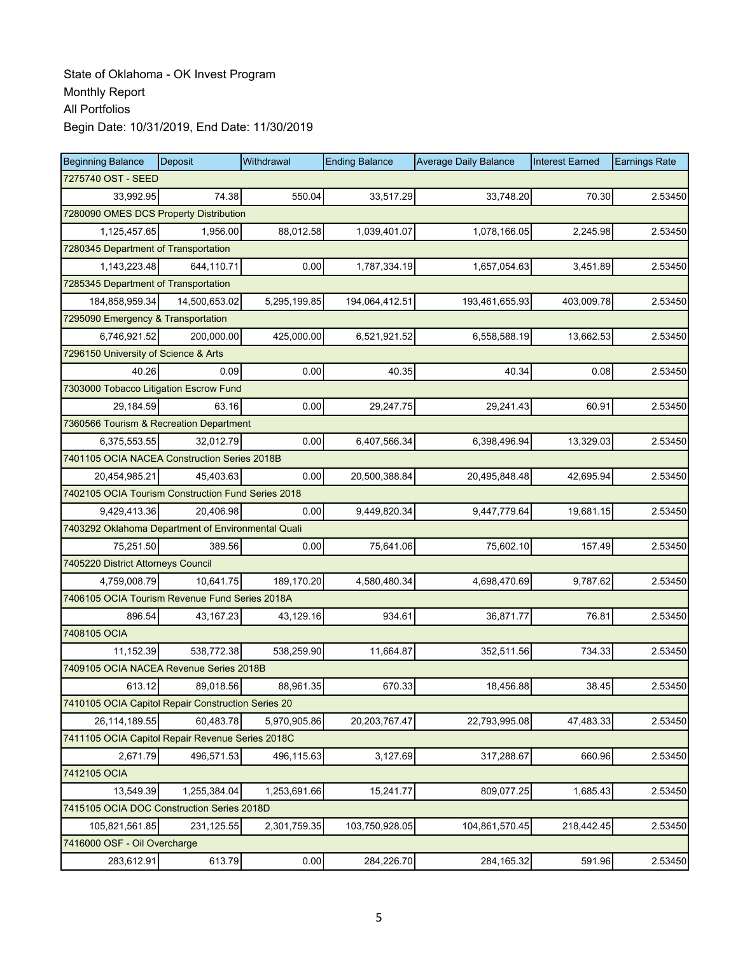| <b>Beginning Balance</b>                           | Deposit            | Withdrawal   | <b>Ending Balance</b> | <b>Average Daily Balance</b> | <b>Interest Earned</b> | <b>Earnings Rate</b> |  |  |  |
|----------------------------------------------------|--------------------|--------------|-----------------------|------------------------------|------------------------|----------------------|--|--|--|
|                                                    | 7275740 OST - SEED |              |                       |                              |                        |                      |  |  |  |
| 33.992.95                                          | 74.38              | 550.04       | 33,517.29             | 33,748.20                    | 70.30                  | 2.53450              |  |  |  |
| 7280090 OMES DCS Property Distribution             |                    |              |                       |                              |                        |                      |  |  |  |
| 1,125,457.65                                       | 1,956.00           | 88,012.58    | 1,039,401.07          | 1,078,166.05                 | 2,245.98               | 2.53450              |  |  |  |
| 7280345 Department of Transportation               |                    |              |                       |                              |                        |                      |  |  |  |
| 1,143,223.48                                       | 644,110.71         | 0.00         | 1,787,334.19          | 1,657,054.63                 | 3,451.89               | 2.53450              |  |  |  |
| 7285345 Department of Transportation               |                    |              |                       |                              |                        |                      |  |  |  |
| 184,858,959.34                                     | 14,500,653.02      | 5,295,199.85 | 194,064,412.51        | 193,461,655.93               | 403,009.78             | 2.53450              |  |  |  |
| 7295090 Emergency & Transportation                 |                    |              |                       |                              |                        |                      |  |  |  |
| 6,746,921.52                                       | 200,000.00         | 425,000.00   | 6,521,921.52          | 6,558,588.19                 | 13,662.53              | 2.53450              |  |  |  |
| 7296150 University of Science & Arts               |                    |              |                       |                              |                        |                      |  |  |  |
| 40.26                                              | 0.09               | 0.00         | 40.35                 | 40.34                        | 0.08                   | 2.53450              |  |  |  |
| 7303000 Tobacco Litigation Escrow Fund             |                    |              |                       |                              |                        |                      |  |  |  |
| 29,184.59                                          | 63.16              | 0.00         | 29,247.75             | 29,241.43                    | 60.91                  | 2.53450              |  |  |  |
| 7360566 Tourism & Recreation Department            |                    |              |                       |                              |                        |                      |  |  |  |
| 6,375,553.55                                       | 32,012.79          | 0.00         | 6,407,566.34          | 6,398,496.94                 | 13,329.03              | 2.53450              |  |  |  |
| 7401105 OCIA NACEA Construction Series 2018B       |                    |              |                       |                              |                        |                      |  |  |  |
| 20.454.985.21                                      | 45,403.63          | 0.00         | 20,500,388.84         | 20,495,848.48                | 42,695.94              | 2.53450              |  |  |  |
| 7402105 OCIA Tourism Construction Fund Series 2018 |                    |              |                       |                              |                        |                      |  |  |  |
| 9,429,413.36                                       | 20,406.98          | 0.00         | 9,449,820.34          | 9,447,779.64                 | 19,681.15              | 2.53450              |  |  |  |
| 7403292 Oklahoma Department of Environmental Quali |                    |              |                       |                              |                        |                      |  |  |  |
| 75,251.50                                          | 389.56             | 0.00         | 75,641.06             | 75,602.10                    | 157.49                 | 2.53450              |  |  |  |
| 7405220 District Attorneys Council                 |                    |              |                       |                              |                        |                      |  |  |  |
| 4,759,008.79                                       | 10,641.75          | 189,170.20   | 4,580,480.34          | 4,698,470.69                 | 9,787.62               | 2.53450              |  |  |  |
| 7406105 OCIA Tourism Revenue Fund Series 2018A     |                    |              |                       |                              |                        |                      |  |  |  |
| 896.54                                             | 43,167.23          | 43,129.16    | 934.61                | 36,871.77                    | 76.81                  | 2.53450              |  |  |  |
| 7408105 OCIA                                       |                    |              |                       |                              |                        |                      |  |  |  |
| 11,152.39                                          | 538,772.38         | 538,259.90   | 11,664.87             | 352,511.56                   | 734.33                 | 2.53450              |  |  |  |
| 7409105 OCIA NACEA Revenue Series 2018B            |                    |              |                       |                              |                        |                      |  |  |  |
| 613.12                                             | 89,018.56          | 88,961.35    | 670.33                | 18,456.88                    | 38.45                  | 2.53450              |  |  |  |
| 7410105 OCIA Capitol Repair Construction Series 20 |                    |              |                       |                              |                        |                      |  |  |  |
| 26,114,189.55                                      | 60,483.78          | 5,970,905.86 | 20,203,767.47         | 22,793,995.08                | 47,483.33              | 2.53450              |  |  |  |
| 7411105 OCIA Capitol Repair Revenue Series 2018C   |                    |              |                       |                              |                        |                      |  |  |  |
| 2,671.79                                           | 496,571.53         | 496,115.63   | 3,127.69              | 317,288.67                   | 660.96                 | 2.53450              |  |  |  |
| 7412105 OCIA                                       |                    |              |                       |                              |                        |                      |  |  |  |
| 13,549.39                                          | 1,255,384.04       | 1,253,691.66 | 15,241.77             | 809,077.25                   | 1,685.43               | 2.53450              |  |  |  |
| 7415105 OCIA DOC Construction Series 2018D         |                    |              |                       |                              |                        |                      |  |  |  |
| 105,821,561.85                                     | 231,125.55         | 2,301,759.35 | 103,750,928.05        | 104,861,570.45               | 218,442.45             | 2.53450              |  |  |  |
| 7416000 OSF - Oil Overcharge                       |                    |              |                       |                              |                        |                      |  |  |  |
| 283,612.91                                         | 613.79             | 0.00         | 284,226.70            | 284,165.32                   | 591.96                 | 2.53450              |  |  |  |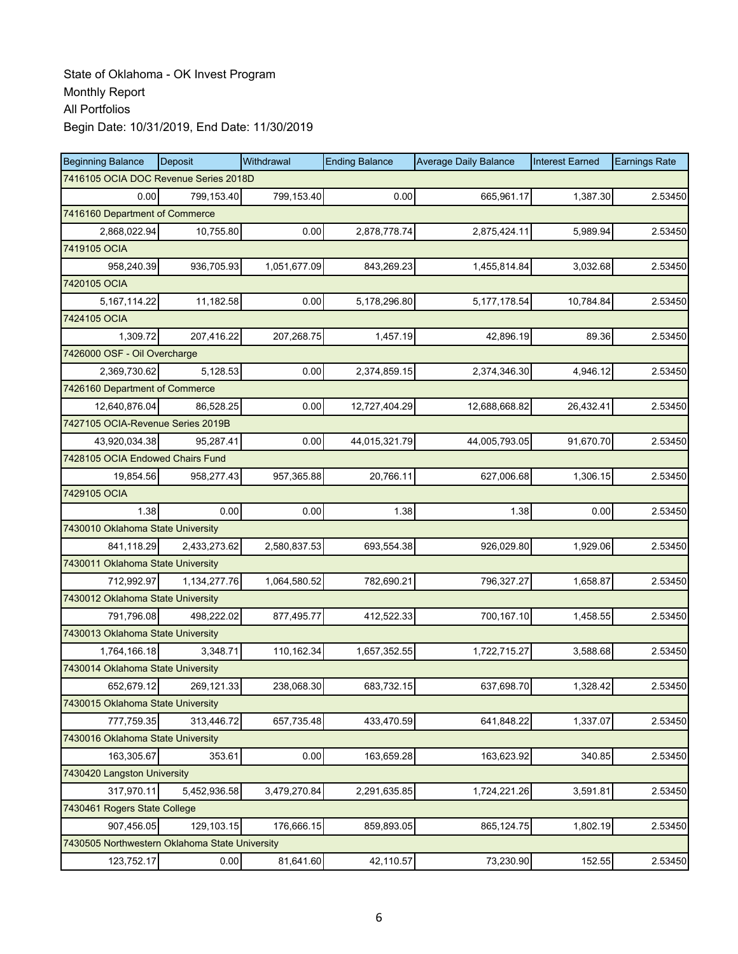| <b>Beginning Balance</b>                       | <b>Deposit</b> | Withdrawal   | <b>Ending Balance</b> | <b>Average Daily Balance</b> | <b>Interest Earned</b> | <b>Earnings Rate</b> |  |  |
|------------------------------------------------|----------------|--------------|-----------------------|------------------------------|------------------------|----------------------|--|--|
| 7416105 OCIA DOC Revenue Series 2018D          |                |              |                       |                              |                        |                      |  |  |
| 0.00                                           | 799,153.40     | 799,153.40   | 0.00                  | 665,961.17                   | 1,387.30               | 2.53450              |  |  |
| 7416160 Department of Commerce                 |                |              |                       |                              |                        |                      |  |  |
| 2,868,022.94                                   | 10,755.80      | 0.00         | 2,878,778.74          | 2,875,424.11                 | 5,989.94               | 2.53450              |  |  |
| 7419105 OCIA                                   |                |              |                       |                              |                        |                      |  |  |
| 958,240.39                                     | 936,705.93     | 1,051,677.09 | 843,269.23            | 1,455,814.84                 | 3,032.68               | 2.53450              |  |  |
| 7420105 OCIA                                   |                |              |                       |                              |                        |                      |  |  |
| 5,167,114.22                                   | 11,182.58      | 0.00         | 5,178,296.80          | 5, 177, 178.54               | 10,784.84              | 2.53450              |  |  |
| 7424105 OCIA                                   |                |              |                       |                              |                        |                      |  |  |
| 1,309.72                                       | 207,416.22     | 207,268.75   | 1,457.19              | 42,896.19                    | 89.36                  | 2.53450              |  |  |
| 7426000 OSF - Oil Overcharge                   |                |              |                       |                              |                        |                      |  |  |
| 2,369,730.62                                   | 5,128.53       | 0.00         | 2,374,859.15          | 2,374,346.30                 | 4,946.12               | 2.53450              |  |  |
| 7426160 Department of Commerce                 |                |              |                       |                              |                        |                      |  |  |
| 12,640,876.04                                  | 86,528.25      | 0.00         | 12,727,404.29         | 12,688,668.82                | 26,432.41              | 2.53450              |  |  |
| 7427105 OCIA-Revenue Series 2019B              |                |              |                       |                              |                        |                      |  |  |
| 43,920,034.38                                  | 95,287.41      | 0.00         | 44,015,321.79         | 44,005,793.05                | 91,670.70              | 2.53450              |  |  |
| 7428105 OCIA Endowed Chairs Fund               |                |              |                       |                              |                        |                      |  |  |
| 19,854.56                                      | 958,277.43     | 957,365.88   | 20,766.11             | 627,006.68                   | 1,306.15               | 2.53450              |  |  |
| 7429105 OCIA                                   |                |              |                       |                              |                        |                      |  |  |
| 1.38                                           | 0.00           | 0.00         | 1.38                  | 1.38                         | 0.00                   | 2.53450              |  |  |
| 7430010 Oklahoma State University              |                |              |                       |                              |                        |                      |  |  |
| 841,118.29                                     | 2,433,273.62   | 2,580,837.53 | 693,554.38            | 926,029.80                   | 1,929.06               | 2.53450              |  |  |
| 7430011 Oklahoma State University              |                |              |                       |                              |                        |                      |  |  |
| 712,992.97                                     | 1,134,277.76   | 1,064,580.52 | 782,690.21            | 796,327.27                   | 1,658.87               | 2.53450              |  |  |
| 7430012 Oklahoma State University              |                |              |                       |                              |                        |                      |  |  |
| 791,796.08                                     | 498,222.02     | 877,495.77   | 412,522.33            | 700,167.10                   | 1,458.55               | 2.53450              |  |  |
| 7430013 Oklahoma State University              |                |              |                       |                              |                        |                      |  |  |
| 1,764,166.18                                   | 3.348.71       | 110,162.34   | 1,657,352.55          | 1,722,715.27                 | 3,588.68               | 2.53450              |  |  |
| 7430014 Oklahoma State University              |                |              |                       |                              |                        |                      |  |  |
| 652,679.12                                     | 269,121.33     | 238,068.30   | 683,732.15            | 637,698.70                   | 1,328.42               | 2.53450              |  |  |
| 7430015 Oklahoma State University              |                |              |                       |                              |                        |                      |  |  |
| 777,759.35                                     | 313,446.72     | 657,735.48   | 433,470.59            | 641,848.22                   | 1,337.07               | 2.53450              |  |  |
| 7430016 Oklahoma State University              |                |              |                       |                              |                        |                      |  |  |
| 163,305.67                                     | 353.61         | 0.00         | 163,659.28            | 163,623.92                   | 340.85                 | 2.53450              |  |  |
| 7430420 Langston University                    |                |              |                       |                              |                        |                      |  |  |
| 317,970.11                                     | 5,452,936.58   | 3,479,270.84 | 2,291,635.85          | 1,724,221.26                 | 3,591.81               | 2.53450              |  |  |
| 7430461 Rogers State College                   |                |              |                       |                              |                        |                      |  |  |
| 907,456.05                                     | 129,103.15     | 176,666.15   | 859,893.05            | 865,124.75                   | 1,802.19               | 2.53450              |  |  |
| 7430505 Northwestern Oklahoma State University |                |              |                       |                              |                        |                      |  |  |
| 123,752.17                                     | 0.00           | 81,641.60    | 42,110.57             | 73,230.90                    | 152.55                 | 2.53450              |  |  |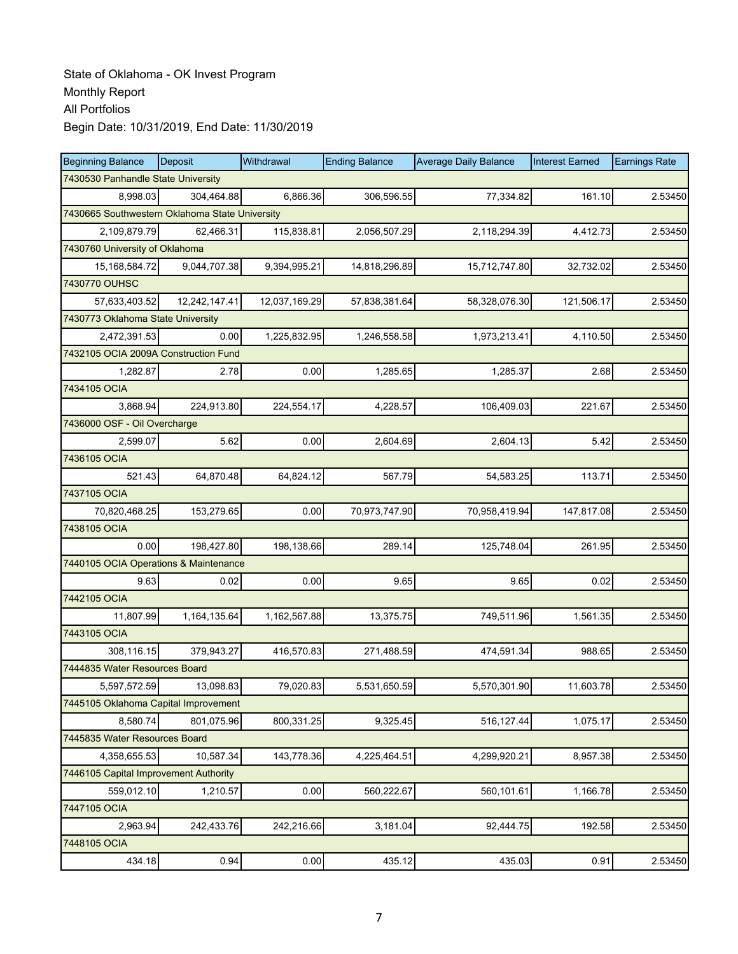| <b>Beginning Balance</b>                       | <b>Deposit</b> | Withdrawal    | <b>Ending Balance</b> | <b>Average Daily Balance</b> | <b>Interest Earned</b> | <b>Earnings Rate</b> |  |  |  |
|------------------------------------------------|----------------|---------------|-----------------------|------------------------------|------------------------|----------------------|--|--|--|
| 7430530 Panhandle State University             |                |               |                       |                              |                        |                      |  |  |  |
| 8.998.03                                       | 304,464.88     | 6,866.36      | 306,596.55            | 77,334.82                    | 161.10                 | 2.53450              |  |  |  |
| 7430665 Southwestern Oklahoma State University |                |               |                       |                              |                        |                      |  |  |  |
| 2,109,879.79                                   | 62,466.31      | 115,838.81    | 2,056,507.29          | 2,118,294.39                 | 4,412.73               | 2.53450              |  |  |  |
| 7430760 University of Oklahoma                 |                |               |                       |                              |                        |                      |  |  |  |
| 15, 168, 584. 72                               | 9,044,707.38   | 9,394,995.21  | 14,818,296.89         | 15,712,747.80                | 32,732.02              | 2.53450              |  |  |  |
| 7430770 OUHSC                                  |                |               |                       |                              |                        |                      |  |  |  |
| 57,633,403.52                                  | 12,242,147.41  | 12,037,169.29 | 57,838,381.64         | 58,328,076.30                | 121,506.17             | 2.53450              |  |  |  |
| 7430773 Oklahoma State University              |                |               |                       |                              |                        |                      |  |  |  |
| 2,472,391.53                                   | 0.00           | 1,225,832.95  | 1,246,558.58          | 1,973,213.41                 | 4,110.50               | 2.53450              |  |  |  |
| 7432105 OCIA 2009A Construction Fund           |                |               |                       |                              |                        |                      |  |  |  |
| 1,282.87                                       | 2.78           | 0.00          | 1,285.65              | 1,285.37                     | 2.68                   | 2.53450              |  |  |  |
| 7434105 OCIA                                   |                |               |                       |                              |                        |                      |  |  |  |
| 3,868.94                                       | 224,913.80     | 224,554.17    | 4,228.57              | 106,409.03                   | 221.67                 | 2.53450              |  |  |  |
| 7436000 OSF - Oil Overcharge                   |                |               |                       |                              |                        |                      |  |  |  |
| 2,599.07                                       | 5.62           | 0.00          | 2,604.69              | 2,604.13                     | 5.42                   | 2.53450              |  |  |  |
| 7436105 OCIA                                   |                |               |                       |                              |                        |                      |  |  |  |
| 521.43                                         | 64,870.48      | 64,824.12     | 567.79                | 54,583.25                    | 113.71                 | 2.53450              |  |  |  |
| 7437105 OCIA                                   |                |               |                       |                              |                        |                      |  |  |  |
| 70,820,468.25                                  | 153,279.65     | 0.00          | 70,973,747.90         | 70,958,419.94                | 147,817.08             | 2.53450              |  |  |  |
| 7438105 OCIA                                   |                |               |                       |                              |                        |                      |  |  |  |
| 0.00                                           | 198,427.80     | 198,138.66    | 289.14                | 125,748.04                   | 261.95                 | 2.53450              |  |  |  |
| 7440105 OCIA Operations & Maintenance          |                |               |                       |                              |                        |                      |  |  |  |
| 9.63                                           | 0.02           | 0.00          | 9.65                  | 9.65                         | 0.02                   | 2.53450              |  |  |  |
| 7442105 OCIA                                   |                |               |                       |                              |                        |                      |  |  |  |
| 11,807.99                                      | 1,164,135.64   | 1,162,567.88  | 13,375.75             | 749,511.96                   | 1,561.35               | 2.53450              |  |  |  |
| 7443105 OCIA                                   |                |               |                       |                              |                        |                      |  |  |  |
| 308,116.15                                     | 379,943.27     | 416,570.83    | 271,488.59            | 474,591.34                   | 988.65                 | 2.53450              |  |  |  |
| 7444835 Water Resources Board                  |                |               |                       |                              |                        |                      |  |  |  |
| 5,597,572.59                                   | 13,098.83      | 79,020.83     | 5,531,650.59          | 5,570,301.90                 | 11,603.78              | 2.53450              |  |  |  |
| 7445105 Oklahoma Capital Improvement           |                |               |                       |                              |                        |                      |  |  |  |
| 8,580.74                                       | 801,075.96     | 800,331.25    | 9,325.45              | 516,127.44                   | 1,075.17               | 2.53450              |  |  |  |
| 7445835 Water Resources Board                  |                |               |                       |                              |                        |                      |  |  |  |
| 4,358,655.53                                   | 10,587.34      | 143,778.36    | 4,225,464.51          | 4,299,920.21                 | 8,957.38               | 2.53450              |  |  |  |
| 7446105 Capital Improvement Authority          |                |               |                       |                              |                        |                      |  |  |  |
| 559,012.10                                     | 1,210.57       | 0.00          | 560,222.67            | 560,101.61                   | 1,166.78               | 2.53450              |  |  |  |
| 7447105 OCIA                                   |                |               |                       |                              |                        |                      |  |  |  |
| 2,963.94                                       | 242,433.76     | 242,216.66    | 3,181.04              | 92,444.75                    | 192.58                 | 2.53450              |  |  |  |
| 7448105 OCIA                                   |                |               |                       |                              |                        |                      |  |  |  |
| 434.18                                         | 0.94           | 0.00          | 435.12                | 435.03                       | 0.91                   | 2.53450              |  |  |  |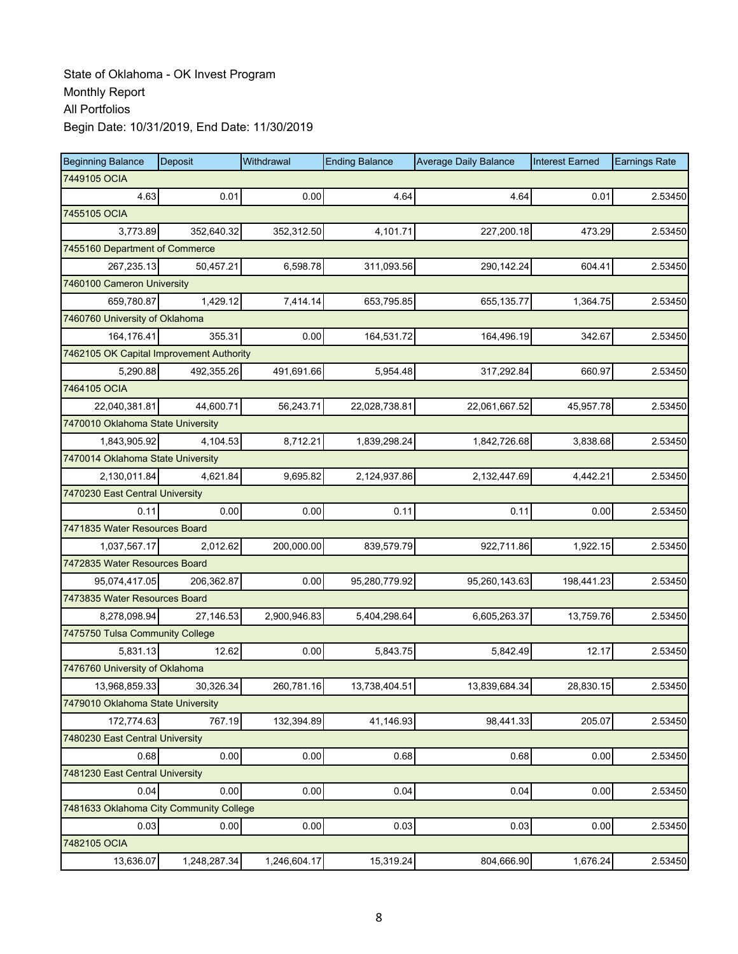| <b>Beginning Balance</b>                 | Deposit      | Withdrawal   | <b>Ending Balance</b> | <b>Average Daily Balance</b> | <b>Interest Earned</b> | <b>Earnings Rate</b> |
|------------------------------------------|--------------|--------------|-----------------------|------------------------------|------------------------|----------------------|
| 7449105 OCIA                             |              |              |                       |                              |                        |                      |
| 4.63                                     | 0.01         | 0.00         | 4.64                  | 4.64                         | 0.01                   | 2.53450              |
| 7455105 OCIA                             |              |              |                       |                              |                        |                      |
| 3,773.89                                 | 352,640.32   | 352,312.50   | 4.101.71              | 227,200.18                   | 473.29                 | 2.53450              |
| 7455160 Department of Commerce           |              |              |                       |                              |                        |                      |
| 267,235.13                               | 50,457.21    | 6,598.78     | 311,093.56            | 290,142.24                   | 604.41                 | 2.53450              |
| 7460100 Cameron University               |              |              |                       |                              |                        |                      |
| 659,780.87                               | 1,429.12     | 7,414.14     | 653,795.85            | 655,135.77                   | 1,364.75               | 2.53450              |
| 7460760 University of Oklahoma           |              |              |                       |                              |                        |                      |
| 164,176.41                               | 355.31       | 0.00         | 164,531.72            | 164,496.19                   | 342.67                 | 2.53450              |
| 7462105 OK Capital Improvement Authority |              |              |                       |                              |                        |                      |
| 5,290.88                                 | 492,355.26   | 491,691.66   | 5,954.48              | 317,292.84                   | 660.97                 | 2.53450              |
| 7464105 OCIA                             |              |              |                       |                              |                        |                      |
| 22,040,381.81                            | 44,600.71    | 56,243.71    | 22,028,738.81         | 22,061,667.52                | 45,957.78              | 2.53450              |
| 7470010 Oklahoma State University        |              |              |                       |                              |                        |                      |
| 1,843,905.92                             | 4,104.53     | 8.712.21     | 1,839,298.24          | 1,842,726.68                 | 3,838.68               | 2.53450              |
| 7470014 Oklahoma State University        |              |              |                       |                              |                        |                      |
| 2,130,011.84                             | 4,621.84     | 9,695.82     | 2,124,937.86          | 2,132,447.69                 | 4,442.21               | 2.53450              |
| 7470230 East Central University          |              |              |                       |                              |                        |                      |
| 0.11                                     | 0.00         | 0.00         | 0.11                  | 0.11                         | 0.00                   | 2.53450              |
| 7471835 Water Resources Board            |              |              |                       |                              |                        |                      |
| 1,037,567.17                             | 2,012.62     | 200,000.00   | 839,579.79            | 922,711.86                   | 1,922.15               | 2.53450              |
| 7472835 Water Resources Board            |              |              |                       |                              |                        |                      |
| 95,074,417.05                            | 206,362.87   | 0.00         | 95,280,779.92         | 95,260,143.63                | 198,441.23             | 2.53450              |
| 7473835 Water Resources Board            |              |              |                       |                              |                        |                      |
| 8,278,098.94                             | 27,146.53    | 2,900,946.83 | 5,404,298.64          | 6,605,263.37                 | 13,759.76              | 2.53450              |
| 7475750 Tulsa Community College          |              |              |                       |                              |                        |                      |
| 5,831.13                                 | 12.62        | 0.00         | 5,843.75              | 5,842.49                     | 12.17                  | 2.53450              |
| 7476760 University of Oklahoma           |              |              |                       |                              |                        |                      |
| 13,968,859.33                            | 30,326.34    | 260,781.16   | 13,738,404.51         | 13,839,684.34                | 28,830.15              | 2.53450              |
| 7479010 Oklahoma State University        |              |              |                       |                              |                        |                      |
| 172,774.63                               | 767.19       | 132,394.89   | 41,146.93             | 98,441.33                    | 205.07                 | 2.53450              |
| 7480230 East Central University          |              |              |                       |                              |                        |                      |
| 0.68                                     | 0.00         | 0.00         | 0.68                  | 0.68                         | 0.00                   | 2.53450              |
| 7481230 East Central University          |              |              |                       |                              |                        |                      |
| 0.04                                     | 0.00         | 0.00         | 0.04                  | 0.04                         | 0.00                   | 2.53450              |
| 7481633 Oklahoma City Community College  |              |              |                       |                              |                        |                      |
| 0.03                                     | 0.00         | 0.00         | 0.03                  | 0.03                         | 0.00                   | 2.53450              |
| 7482105 OCIA                             |              |              |                       |                              |                        |                      |
| 13,636.07                                | 1,248,287.34 | 1,246,604.17 | 15,319.24             | 804,666.90                   | 1,676.24               | 2.53450              |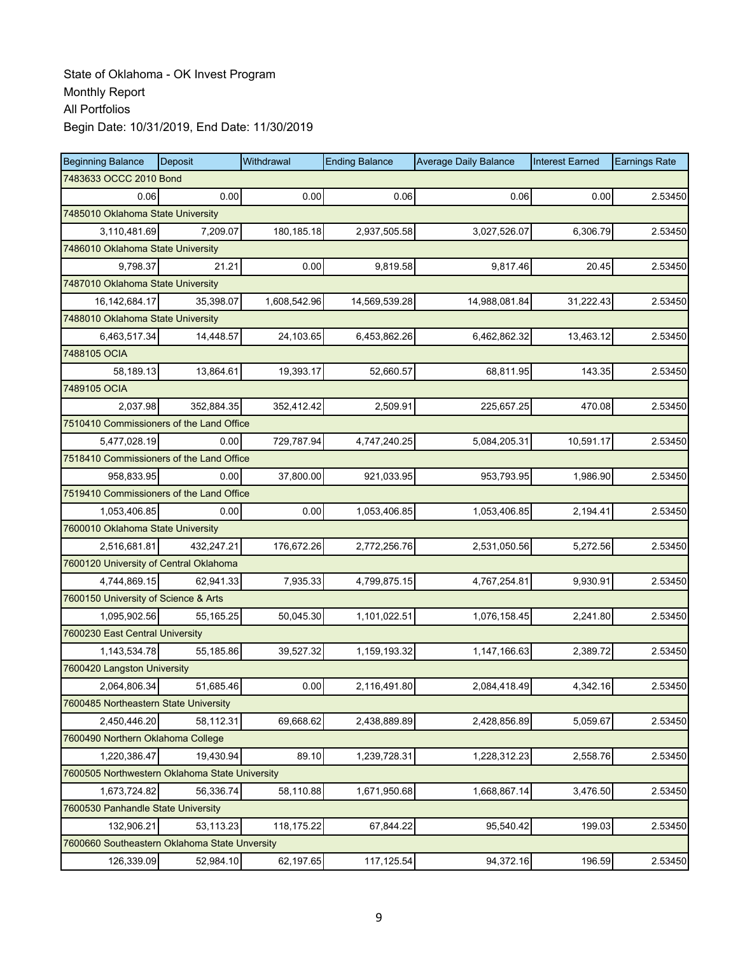| <b>Beginning Balance</b>                       | Deposit                | Withdrawal   | <b>Ending Balance</b> | <b>Average Daily Balance</b> | <b>Interest Earned</b> | <b>Earnings Rate</b> |  |  |  |
|------------------------------------------------|------------------------|--------------|-----------------------|------------------------------|------------------------|----------------------|--|--|--|
|                                                | 7483633 OCCC 2010 Bond |              |                       |                              |                        |                      |  |  |  |
| 0.06                                           | 0.00                   | 0.00         | 0.06                  | 0.06                         | 0.00                   | 2.53450              |  |  |  |
| 7485010 Oklahoma State University              |                        |              |                       |                              |                        |                      |  |  |  |
| 3,110,481.69                                   | 7,209.07               | 180,185.18   | 2,937,505.58          | 3,027,526.07                 | 6,306.79               | 2.53450              |  |  |  |
| 7486010 Oklahoma State University              |                        |              |                       |                              |                        |                      |  |  |  |
| 9,798.37                                       | 21.21                  | 0.00         | 9,819.58              | 9,817.46                     | 20.45                  | 2.53450              |  |  |  |
| 7487010 Oklahoma State University              |                        |              |                       |                              |                        |                      |  |  |  |
| 16, 142, 684. 17                               | 35.398.07              | 1,608,542.96 | 14,569,539.28         | 14,988,081.84                | 31,222.43              | 2.53450              |  |  |  |
| 7488010 Oklahoma State University              |                        |              |                       |                              |                        |                      |  |  |  |
| 6,463,517.34                                   | 14,448.57              | 24,103.65    | 6,453,862.26          | 6,462,862.32                 | 13,463.12              | 2.53450              |  |  |  |
| 7488105 OCIA                                   |                        |              |                       |                              |                        |                      |  |  |  |
| 58,189.13                                      | 13,864.61              | 19,393.17    | 52,660.57             | 68,811.95                    | 143.35                 | 2.53450              |  |  |  |
| 7489105 OCIA                                   |                        |              |                       |                              |                        |                      |  |  |  |
| 2,037.98                                       | 352.884.35             | 352,412.42   | 2,509.91              | 225,657.25                   | 470.08                 | 2.53450              |  |  |  |
| 7510410 Commissioners of the Land Office       |                        |              |                       |                              |                        |                      |  |  |  |
| 5,477,028.19                                   | 0.00                   | 729,787.94   | 4,747,240.25          | 5,084,205.31                 | 10,591.17              | 2.53450              |  |  |  |
| 7518410 Commissioners of the Land Office       |                        |              |                       |                              |                        |                      |  |  |  |
| 958,833.95                                     | 0.00                   | 37,800.00    | 921,033.95            | 953,793.95                   | 1,986.90               | 2.53450              |  |  |  |
| 7519410 Commissioners of the Land Office       |                        |              |                       |                              |                        |                      |  |  |  |
| 1,053,406.85                                   | 0.00                   | 0.00         | 1,053,406.85          | 1,053,406.85                 | 2,194.41               | 2.53450              |  |  |  |
| 7600010 Oklahoma State University              |                        |              |                       |                              |                        |                      |  |  |  |
| 2,516,681.81                                   | 432,247.21             | 176,672.26   | 2,772,256.76          | 2,531,050.56                 | 5,272.56               | 2.53450              |  |  |  |
| 7600120 University of Central Oklahoma         |                        |              |                       |                              |                        |                      |  |  |  |
| 4,744,869.15                                   | 62,941.33              | 7,935.33     | 4,799,875.15          | 4,767,254.81                 | 9,930.91               | 2.53450              |  |  |  |
| 7600150 University of Science & Arts           |                        |              |                       |                              |                        |                      |  |  |  |
| 1,095,902.56                                   | 55,165.25              | 50,045.30    | 1,101,022.51          | 1,076,158.45                 | 2,241.80               | 2.53450              |  |  |  |
| 7600230 East Central University                |                        |              |                       |                              |                        |                      |  |  |  |
| 1,143,534.78                                   | 55,185.86              | 39,527.32    | 1,159,193.32          | 1,147,166.63                 | 2,389.72               | 2.53450              |  |  |  |
| 7600420 Langston University                    |                        |              |                       |                              |                        |                      |  |  |  |
| 2,064,806.34                                   | 51,685.46              | 0.00         | 2,116,491.80          | 2,084,418.49                 | 4,342.16               | 2.53450              |  |  |  |
| 7600485 Northeastern State University          |                        |              |                       |                              |                        |                      |  |  |  |
| 2,450,446.20                                   | 58,112.31              | 69,668.62    | 2,438,889.89          | 2,428,856.89                 | 5,059.67               | 2.53450              |  |  |  |
| 7600490 Northern Oklahoma College              |                        |              |                       |                              |                        |                      |  |  |  |
| 1,220,386.47                                   | 19,430.94              | 89.10        | 1,239,728.31          | 1,228,312.23                 | 2,558.76               | 2.53450              |  |  |  |
| 7600505 Northwestern Oklahoma State University |                        |              |                       |                              |                        |                      |  |  |  |
| 1,673,724.82                                   | 56,336.74              | 58,110.88    | 1,671,950.68          | 1,668,867.14                 | 3,476.50               | 2.53450              |  |  |  |
| 7600530 Panhandle State University             |                        |              |                       |                              |                        |                      |  |  |  |
| 132,906.21                                     | 53,113.23              | 118,175.22   | 67,844.22             | 95,540.42                    | 199.03                 | 2.53450              |  |  |  |
| 7600660 Southeastern Oklahoma State Unversity  |                        |              |                       |                              |                        |                      |  |  |  |
| 126,339.09                                     | 52,984.10              | 62,197.65    | 117, 125.54           | 94,372.16                    | 196.59                 | 2.53450              |  |  |  |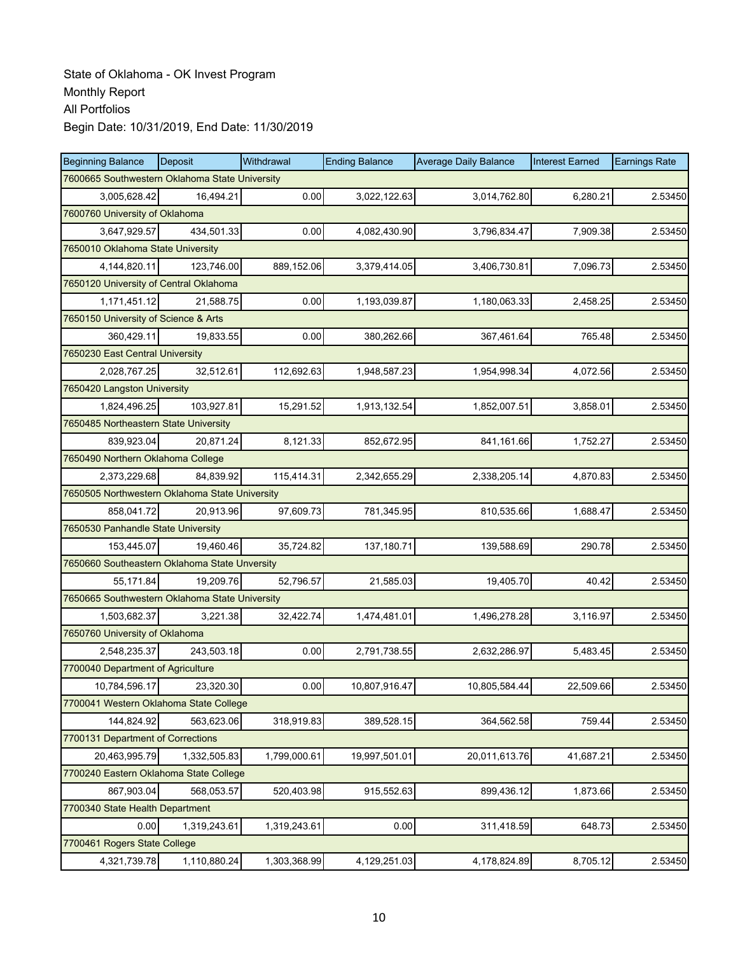| <b>Beginning Balance</b>                       | Deposit      | Withdrawal   | <b>Ending Balance</b> | <b>Average Daily Balance</b> | <b>Interest Earned</b> | <b>Earnings Rate</b> |  |  |  |
|------------------------------------------------|--------------|--------------|-----------------------|------------------------------|------------------------|----------------------|--|--|--|
| 7600665 Southwestern Oklahoma State University |              |              |                       |                              |                        |                      |  |  |  |
| 3,005,628.42                                   | 16,494.21    | 0.00         | 3,022,122.63          | 3,014,762.80                 | 6,280.21               | 2.53450              |  |  |  |
| 7600760 University of Oklahoma                 |              |              |                       |                              |                        |                      |  |  |  |
| 3,647,929.57                                   | 434,501.33   | 0.00         | 4,082,430.90          | 3,796,834.47                 | 7,909.38               | 2.53450              |  |  |  |
| 7650010 Oklahoma State University              |              |              |                       |                              |                        |                      |  |  |  |
| 4,144,820.11                                   | 123,746.00   | 889,152.06   | 3,379,414.05          | 3,406,730.81                 | 7,096.73               | 2.53450              |  |  |  |
| 7650120 University of Central Oklahoma         |              |              |                       |                              |                        |                      |  |  |  |
| 1,171,451.12                                   | 21,588.75    | 0.00         | 1,193,039.87          | 1,180,063.33                 | 2,458.25               | 2.53450              |  |  |  |
| 7650150 University of Science & Arts           |              |              |                       |                              |                        |                      |  |  |  |
| 360,429.11                                     | 19,833.55    | 0.00         | 380,262.66            | 367,461.64                   | 765.48                 | 2.53450              |  |  |  |
| 7650230 East Central University                |              |              |                       |                              |                        |                      |  |  |  |
| 2,028,767.25                                   | 32,512.61    | 112,692.63   | 1,948,587.23          | 1,954,998.34                 | 4,072.56               | 2.53450              |  |  |  |
| 7650420 Langston University                    |              |              |                       |                              |                        |                      |  |  |  |
| 1,824,496.25                                   | 103,927.81   | 15,291.52    | 1,913,132.54          | 1,852,007.51                 | 3,858.01               | 2.53450              |  |  |  |
| 7650485 Northeastern State University          |              |              |                       |                              |                        |                      |  |  |  |
| 839,923.04                                     | 20.871.24    | 8,121.33     | 852,672.95            | 841,161.66                   | 1,752.27               | 2.53450              |  |  |  |
| 7650490 Northern Oklahoma College              |              |              |                       |                              |                        |                      |  |  |  |
| 2,373,229.68                                   | 84,839.92    | 115,414.31   | 2,342,655.29          | 2,338,205.14                 | 4,870.83               | 2.53450              |  |  |  |
| 7650505 Northwestern Oklahoma State University |              |              |                       |                              |                        |                      |  |  |  |
| 858,041.72                                     | 20,913.96    | 97,609.73    | 781,345.95            | 810,535.66                   | 1,688.47               | 2.53450              |  |  |  |
| 7650530 Panhandle State University             |              |              |                       |                              |                        |                      |  |  |  |
| 153,445.07                                     | 19,460.46    | 35,724.82    | 137,180.71            | 139,588.69                   | 290.78                 | 2.53450              |  |  |  |
| 7650660 Southeastern Oklahoma State Unversity  |              |              |                       |                              |                        |                      |  |  |  |
| 55,171.84                                      | 19,209.76    | 52,796.57    | 21,585.03             | 19,405.70                    | 40.42                  | 2.53450              |  |  |  |
| 7650665 Southwestern Oklahoma State University |              |              |                       |                              |                        |                      |  |  |  |
| 1,503,682.37                                   | 3,221.38     | 32,422.74    | 1,474,481.01          | 1,496,278.28                 | 3,116.97               | 2.53450              |  |  |  |
| 7650760 University of Oklahoma                 |              |              |                       |                              |                        |                      |  |  |  |
| 2,548,235.37                                   | 243,503.18   | 0.00         | 2,791,738.55          | 2,632,286.97                 | 5,483.45               | 2.53450              |  |  |  |
| 7700040 Department of Agriculture              |              |              |                       |                              |                        |                      |  |  |  |
| 10,784,596.17                                  | 23,320.30    | 0.00         | 10,807,916.47         | 10,805,584.44                | 22,509.66              | 2.53450              |  |  |  |
| 7700041 Western Oklahoma State College         |              |              |                       |                              |                        |                      |  |  |  |
| 144,824.92                                     | 563,623.06   | 318,919.83   | 389,528.15            | 364,562.58                   | 759.44                 | 2.53450              |  |  |  |
| 7700131 Department of Corrections              |              |              |                       |                              |                        |                      |  |  |  |
| 20,463,995.79                                  | 1,332,505.83 | 1,799,000.61 | 19,997,501.01         | 20,011,613.76                | 41,687.21              | 2.53450              |  |  |  |
| 7700240 Eastern Oklahoma State College         |              |              |                       |                              |                        |                      |  |  |  |
| 867,903.04                                     | 568,053.57   | 520,403.98   | 915,552.63            | 899,436.12                   | 1,873.66               | 2.53450              |  |  |  |
| 7700340 State Health Department                |              |              |                       |                              |                        |                      |  |  |  |
| 0.00                                           | 1,319,243.61 | 1,319,243.61 | 0.00                  | 311,418.59                   | 648.73                 | 2.53450              |  |  |  |
| 7700461 Rogers State College                   |              |              |                       |                              |                        |                      |  |  |  |
| 4,321,739.78                                   | 1,110,880.24 | 1,303,368.99 | 4,129,251.03          | 4,178,824.89                 | 8,705.12               | 2.53450              |  |  |  |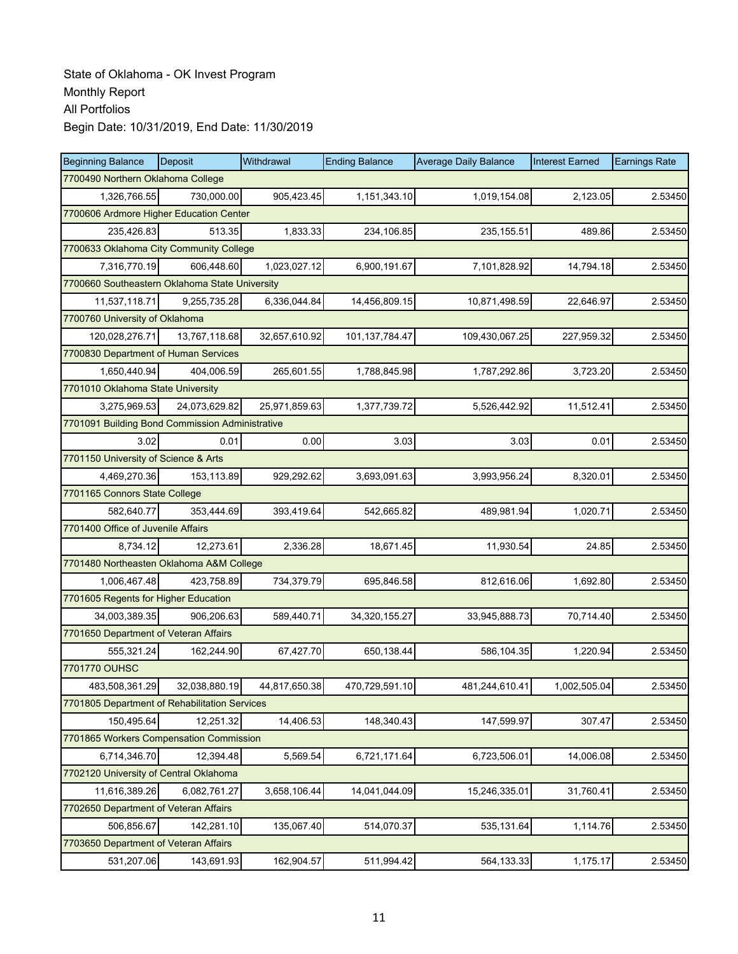| <b>Beginning Balance</b>                        | Deposit       | Withdrawal    | <b>Ending Balance</b> | <b>Average Daily Balance</b> | <b>Interest Earned</b> | <b>Earnings Rate</b> |  |  |  |
|-------------------------------------------------|---------------|---------------|-----------------------|------------------------------|------------------------|----------------------|--|--|--|
| 7700490 Northern Oklahoma College               |               |               |                       |                              |                        |                      |  |  |  |
| 1,326,766.55                                    | 730,000.00    | 905,423.45    | 1,151,343.10          | 1,019,154.08                 | 2,123.05               | 2.53450              |  |  |  |
| 7700606 Ardmore Higher Education Center         |               |               |                       |                              |                        |                      |  |  |  |
| 235,426.83                                      | 513.35        | 1,833.33      | 234,106.85            | 235, 155.51                  | 489.86                 | 2.53450              |  |  |  |
| 7700633 Oklahoma City Community College         |               |               |                       |                              |                        |                      |  |  |  |
| 7,316,770.19                                    | 606,448.60    | 1,023,027.12  | 6,900,191.67          | 7,101,828.92                 | 14,794.18              | 2.53450              |  |  |  |
| 7700660 Southeastern Oklahoma State University  |               |               |                       |                              |                        |                      |  |  |  |
| 11,537,118.71                                   | 9,255,735.28  | 6,336,044.84  | 14,456,809.15         | 10,871,498.59                | 22,646.97              | 2.53450              |  |  |  |
| 7700760 University of Oklahoma                  |               |               |                       |                              |                        |                      |  |  |  |
| 120,028,276.71                                  | 13,767,118.68 | 32,657,610.92 | 101,137,784.47        | 109,430,067.25               | 227,959.32             | 2.53450              |  |  |  |
| 7700830 Department of Human Services            |               |               |                       |                              |                        |                      |  |  |  |
| 1,650,440.94                                    | 404,006.59    | 265,601.55    | 1,788,845.98          | 1,787,292.86                 | 3,723.20               | 2.53450              |  |  |  |
| 7701010 Oklahoma State University               |               |               |                       |                              |                        |                      |  |  |  |
| 3,275,969.53                                    | 24,073,629.82 | 25,971,859.63 | 1,377,739.72          | 5,526,442.92                 | 11,512.41              | 2.53450              |  |  |  |
| 7701091 Building Bond Commission Administrative |               |               |                       |                              |                        |                      |  |  |  |
| 3.02                                            | 0.01          | 0.00          | 3.03                  | 3.03                         | 0.01                   | 2.53450              |  |  |  |
| 7701150 University of Science & Arts            |               |               |                       |                              |                        |                      |  |  |  |
| 4,469,270.36                                    | 153,113.89    | 929,292.62    | 3,693,091.63          | 3,993,956.24                 | 8,320.01               | 2.53450              |  |  |  |
| 7701165 Connors State College                   |               |               |                       |                              |                        |                      |  |  |  |
| 582,640.77                                      | 353,444.69    | 393,419.64    | 542,665.82            | 489,981.94                   | 1,020.71               | 2.53450              |  |  |  |
| 7701400 Office of Juvenile Affairs              |               |               |                       |                              |                        |                      |  |  |  |
| 8,734.12                                        | 12,273.61     | 2,336.28      | 18,671.45             | 11,930.54                    | 24.85                  | 2.53450              |  |  |  |
| 7701480 Northeasten Oklahoma A&M College        |               |               |                       |                              |                        |                      |  |  |  |
| 1,006,467.48                                    | 423,758.89    | 734,379.79    | 695,846.58            | 812,616.06                   | 1,692.80               | 2.53450              |  |  |  |
| 7701605 Regents for Higher Education            |               |               |                       |                              |                        |                      |  |  |  |
| 34,003,389.35                                   | 906,206.63    | 589,440.71    | 34,320,155.27         | 33,945,888.73                | 70,714.40              | 2.53450              |  |  |  |
| 7701650 Department of Veteran Affairs           |               |               |                       |                              |                        |                      |  |  |  |
| 555,321.24                                      | 162,244.90    | 67,427.70     | 650,138.44            | 586,104.35                   | 1,220.94               | 2.53450              |  |  |  |
| 7701770 OUHSC                                   |               |               |                       |                              |                        |                      |  |  |  |
| 483,508,361.29                                  | 32,038,880.19 | 44,817,650.38 | 470,729,591.10        | 481,244,610.41               | 1,002,505.04           | 2.53450              |  |  |  |
| 7701805 Department of Rehabilitation Services   |               |               |                       |                              |                        |                      |  |  |  |
| 150,495.64                                      | 12,251.32     | 14,406.53     | 148,340.43            | 147,599.97                   | 307.47                 | 2.53450              |  |  |  |
| 7701865 Workers Compensation Commission         |               |               |                       |                              |                        |                      |  |  |  |
| 6,714,346.70                                    | 12,394.48     | 5,569.54      | 6,721,171.64          | 6,723,506.01                 | 14,006.08              | 2.53450              |  |  |  |
| 7702120 University of Central Oklahoma          |               |               |                       |                              |                        |                      |  |  |  |
| 11,616,389.26                                   | 6,082,761.27  | 3,658,106.44  | 14,041,044.09         | 15,246,335.01                | 31,760.41              | 2.53450              |  |  |  |
| 7702650 Department of Veteran Affairs           |               |               |                       |                              |                        |                      |  |  |  |
| 506,856.67                                      | 142,281.10    | 135,067.40    | 514,070.37            | 535,131.64                   | 1,114.76               | 2.53450              |  |  |  |
| 7703650 Department of Veteran Affairs           |               |               |                       |                              |                        |                      |  |  |  |
| 531,207.06                                      | 143,691.93    | 162,904.57    | 511,994.42            | 564,133.33                   | 1,175.17               | 2.53450              |  |  |  |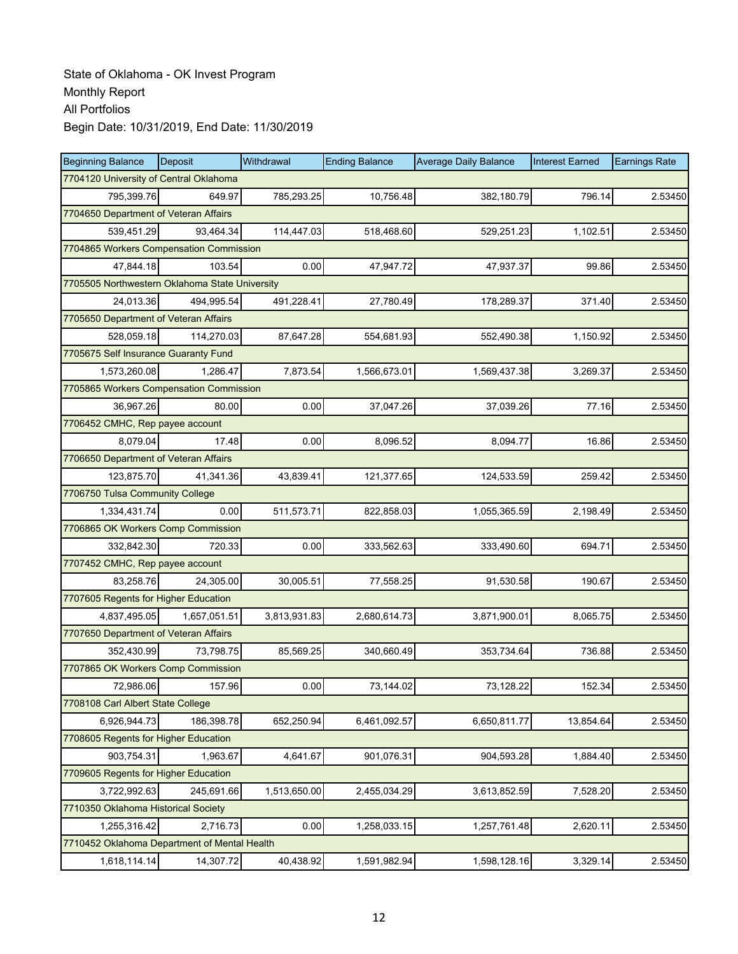| <b>Beginning Balance</b>                       | Deposit      | Withdrawal   | <b>Ending Balance</b> | <b>Average Daily Balance</b> | <b>Interest Earned</b> | <b>Earnings Rate</b> |  |  |  |
|------------------------------------------------|--------------|--------------|-----------------------|------------------------------|------------------------|----------------------|--|--|--|
| 7704120 University of Central Oklahoma         |              |              |                       |                              |                        |                      |  |  |  |
| 795,399.76                                     | 649.97       | 785,293.25   | 10,756.48             | 382,180.79                   | 796.14                 | 2.53450              |  |  |  |
| 7704650 Department of Veteran Affairs          |              |              |                       |                              |                        |                      |  |  |  |
| 539,451.29                                     | 93.464.34    | 114,447.03   | 518,468.60            | 529,251.23                   | 1,102.51               | 2.53450              |  |  |  |
| 7704865 Workers Compensation Commission        |              |              |                       |                              |                        |                      |  |  |  |
| 47,844.18                                      | 103.54       | 0.00         | 47,947.72             | 47,937.37                    | 99.86                  | 2.53450              |  |  |  |
| 7705505 Northwestern Oklahoma State University |              |              |                       |                              |                        |                      |  |  |  |
| 24,013.36                                      | 494,995.54   | 491,228.41   | 27,780.49             | 178,289.37                   | 371.40                 | 2.53450              |  |  |  |
| 7705650 Department of Veteran Affairs          |              |              |                       |                              |                        |                      |  |  |  |
| 528,059.18                                     | 114,270.03   | 87,647.28    | 554,681.93            | 552,490.38                   | 1,150.92               | 2.53450              |  |  |  |
| 7705675 Self Insurance Guaranty Fund           |              |              |                       |                              |                        |                      |  |  |  |
| 1,573,260.08                                   | 1,286.47     | 7,873.54     | 1,566,673.01          | 1,569,437.38                 | 3,269.37               | 2.53450              |  |  |  |
| 7705865 Workers Compensation Commission        |              |              |                       |                              |                        |                      |  |  |  |
| 36,967.26                                      | 80.00        | 0.00         | 37,047.26             | 37,039.26                    | 77.16                  | 2.53450              |  |  |  |
| 7706452 CMHC, Rep payee account                |              |              |                       |                              |                        |                      |  |  |  |
| 8,079.04                                       | 17.48        | 0.00         | 8,096.52              | 8,094.77                     | 16.86                  | 2.53450              |  |  |  |
| 7706650 Department of Veteran Affairs          |              |              |                       |                              |                        |                      |  |  |  |
| 123,875.70                                     | 41,341.36    | 43,839.41    | 121,377.65            | 124,533.59                   | 259.42                 | 2.53450              |  |  |  |
| 7706750 Tulsa Community College                |              |              |                       |                              |                        |                      |  |  |  |
| 1,334,431.74                                   | 0.00         | 511,573.71   | 822,858.03            | 1,055,365.59                 | 2,198.49               | 2.53450              |  |  |  |
| 7706865 OK Workers Comp Commission             |              |              |                       |                              |                        |                      |  |  |  |
| 332,842.30                                     | 720.33       | 0.00         | 333,562.63            | 333,490.60                   | 694.71                 | 2.53450              |  |  |  |
| 7707452 CMHC, Rep payee account                |              |              |                       |                              |                        |                      |  |  |  |
| 83,258.76                                      | 24,305.00    | 30,005.51    | 77,558.25             | 91,530.58                    | 190.67                 | 2.53450              |  |  |  |
| 7707605 Regents for Higher Education           |              |              |                       |                              |                        |                      |  |  |  |
| 4,837,495.05                                   | 1,657,051.51 | 3,813,931.83 | 2,680,614.73          | 3,871,900.01                 | 8,065.75               | 2.53450              |  |  |  |
| 7707650 Department of Veteran Affairs          |              |              |                       |                              |                        |                      |  |  |  |
| 352,430.99                                     | 73,798.75    | 85,569.25    | 340,660.49            | 353,734.64                   | 736.88                 | 2.53450              |  |  |  |
| 7707865 OK Workers Comp Commission             |              |              |                       |                              |                        |                      |  |  |  |
| 72,986.06                                      | 157.96       | 0.00         | 73,144.02             | 73,128.22                    | 152.34                 | 2.53450              |  |  |  |
| 7708108 Carl Albert State College              |              |              |                       |                              |                        |                      |  |  |  |
| 6,926,944.73                                   | 186,398.78   | 652,250.94   | 6,461,092.57          | 6,650,811.77                 | 13,854.64              | 2.53450              |  |  |  |
| 7708605 Regents for Higher Education           |              |              |                       |                              |                        |                      |  |  |  |
| 903,754.31                                     | 1,963.67     | 4,641.67     | 901,076.31            | 904,593.28                   | 1,884.40               | 2.53450              |  |  |  |
| 7709605 Regents for Higher Education           |              |              |                       |                              |                        |                      |  |  |  |
| 3,722,992.63                                   | 245,691.66   | 1,513,650.00 | 2,455,034.29          | 3,613,852.59                 | 7,528.20               | 2.53450              |  |  |  |
| 7710350 Oklahoma Historical Society            |              |              |                       |                              |                        |                      |  |  |  |
| 1,255,316.42                                   | 2,716.73     | 0.00         | 1,258,033.15          | 1,257,761.48                 | 2,620.11               | 2.53450              |  |  |  |
| 7710452 Oklahoma Department of Mental Health   |              |              |                       |                              |                        |                      |  |  |  |
| 1,618,114.14                                   | 14,307.72    | 40,438.92    | 1,591,982.94          | 1,598,128.16                 | 3,329.14               | 2.53450              |  |  |  |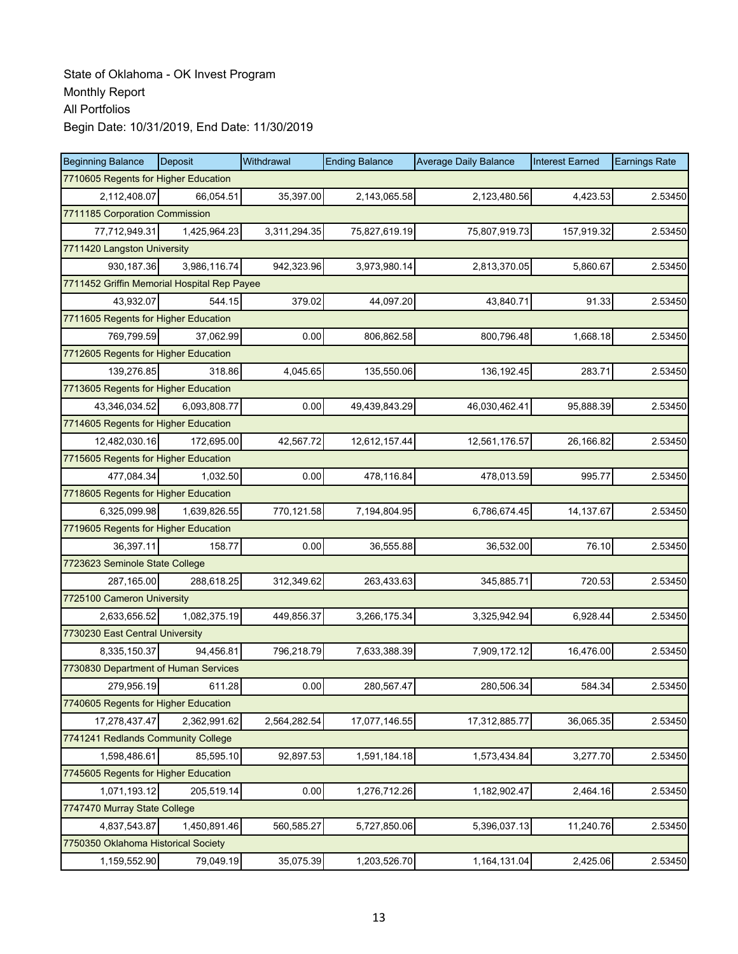| <b>Beginning Balance</b>                    | Deposit                              | Withdrawal   | <b>Ending Balance</b> | <b>Average Daily Balance</b> | <b>Interest Earned</b> | <b>Earnings Rate</b> |  |  |
|---------------------------------------------|--------------------------------------|--------------|-----------------------|------------------------------|------------------------|----------------------|--|--|
| 7710605 Regents for Higher Education        |                                      |              |                       |                              |                        |                      |  |  |
| 2.112.408.07                                | 66,054.51                            | 35,397.00    | 2,143,065.58          | 2,123,480.56                 | 4.423.53               | 2.53450              |  |  |
| 7711185 Corporation Commission              |                                      |              |                       |                              |                        |                      |  |  |
| 77,712,949.31                               | 1,425,964.23                         | 3,311,294.35 | 75,827,619.19         | 75,807,919.73                | 157,919.32             | 2.53450              |  |  |
| 7711420 Langston University                 |                                      |              |                       |                              |                        |                      |  |  |
| 930,187.36                                  | 3,986,116.74                         | 942,323.96   | 3,973,980.14          | 2,813,370.05                 | 5,860.67               | 2.53450              |  |  |
| 7711452 Griffin Memorial Hospital Rep Payee |                                      |              |                       |                              |                        |                      |  |  |
| 43,932.07                                   | 544.15                               | 379.02       | 44,097.20             | 43,840.71                    | 91.33                  | 2.53450              |  |  |
| 7711605 Regents for Higher Education        |                                      |              |                       |                              |                        |                      |  |  |
| 769,799.59                                  | 37,062.99                            | 0.00         | 806,862.58            | 800,796.48                   | 1,668.18               | 2.53450              |  |  |
|                                             | 7712605 Regents for Higher Education |              |                       |                              |                        |                      |  |  |
| 139,276.85                                  | 318.86                               | 4,045.65     | 135,550.06            | 136,192.45                   | 283.71                 | 2.53450              |  |  |
| 7713605 Regents for Higher Education        |                                      |              |                       |                              |                        |                      |  |  |
| 43,346,034.52                               | 6,093,808.77                         | 0.00         | 49,439,843.29         | 46,030,462.41                | 95,888.39              | 2.53450              |  |  |
| 7714605 Regents for Higher Education        |                                      |              |                       |                              |                        |                      |  |  |
| 12,482,030.16                               | 172,695.00                           | 42,567.72    | 12,612,157.44         | 12,561,176.57                | 26,166.82              | 2.53450              |  |  |
| 7715605 Regents for Higher Education        |                                      |              |                       |                              |                        |                      |  |  |
| 477,084.34                                  | 1,032.50                             | 0.00         | 478,116.84            | 478,013.59                   | 995.77                 | 2.53450              |  |  |
| 7718605 Regents for Higher Education        |                                      |              |                       |                              |                        |                      |  |  |
| 6,325,099.98                                | 1,639,826.55                         | 770,121.58   | 7,194,804.95          | 6,786,674.45                 | 14,137.67              | 2.53450              |  |  |
| 7719605 Regents for Higher Education        |                                      |              |                       |                              |                        |                      |  |  |
| 36,397.11                                   | 158.77                               | 0.00         | 36,555.88             | 36,532.00                    | 76.10                  | 2.53450              |  |  |
| 7723623 Seminole State College              |                                      |              |                       |                              |                        |                      |  |  |
| 287,165.00                                  | 288,618.25                           | 312,349.62   | 263,433.63            | 345,885.71                   | 720.53                 | 2.53450              |  |  |
| 7725100 Cameron University                  |                                      |              |                       |                              |                        |                      |  |  |
| 2,633,656.52                                | 1,082,375.19                         | 449,856.37   | 3,266,175.34          | 3,325,942.94                 | 6,928.44               | 2.53450              |  |  |
| 7730230 East Central University             |                                      |              |                       |                              |                        |                      |  |  |
| 8,335,150.37                                | 94,456.81                            | 796,218.79   | 7,633,388.39          | 7,909,172.12                 | 16,476.00              | 2.53450              |  |  |
| 7730830 Department of Human Services        |                                      |              |                       |                              |                        |                      |  |  |
| 279,956.19                                  | 611.28                               | 0.00         | 280,567.47            | 280,506.34                   | 584.34                 | 2.53450              |  |  |
| 7740605 Regents for Higher Education        |                                      |              |                       |                              |                        |                      |  |  |
| 17,278,437.47                               | 2,362,991.62                         | 2,564,282.54 | 17,077,146.55         | 17,312,885.77                | 36,065.35              | 2.53450              |  |  |
| 7741241 Redlands Community College          |                                      |              |                       |                              |                        |                      |  |  |
| 1,598,486.61                                | 85,595.10                            | 92,897.53    | 1,591,184.18          | 1,573,434.84                 | 3,277.70               | 2.53450              |  |  |
| 7745605 Regents for Higher Education        |                                      |              |                       |                              |                        |                      |  |  |
| 1,071,193.12                                | 205,519.14                           | 0.00         | 1,276,712.26          | 1,182,902.47                 | 2,464.16               | 2.53450              |  |  |
| 7747470 Murray State College                |                                      |              |                       |                              |                        |                      |  |  |
| 4,837,543.87                                | 1,450,891.46                         | 560,585.27   | 5,727,850.06          | 5,396,037.13                 | 11,240.76              | 2.53450              |  |  |
| 7750350 Oklahoma Historical Society         |                                      |              |                       |                              |                        |                      |  |  |
| 1,159,552.90                                | 79,049.19                            | 35,075.39    | 1,203,526.70          | 1,164,131.04                 | 2,425.06               | 2.53450              |  |  |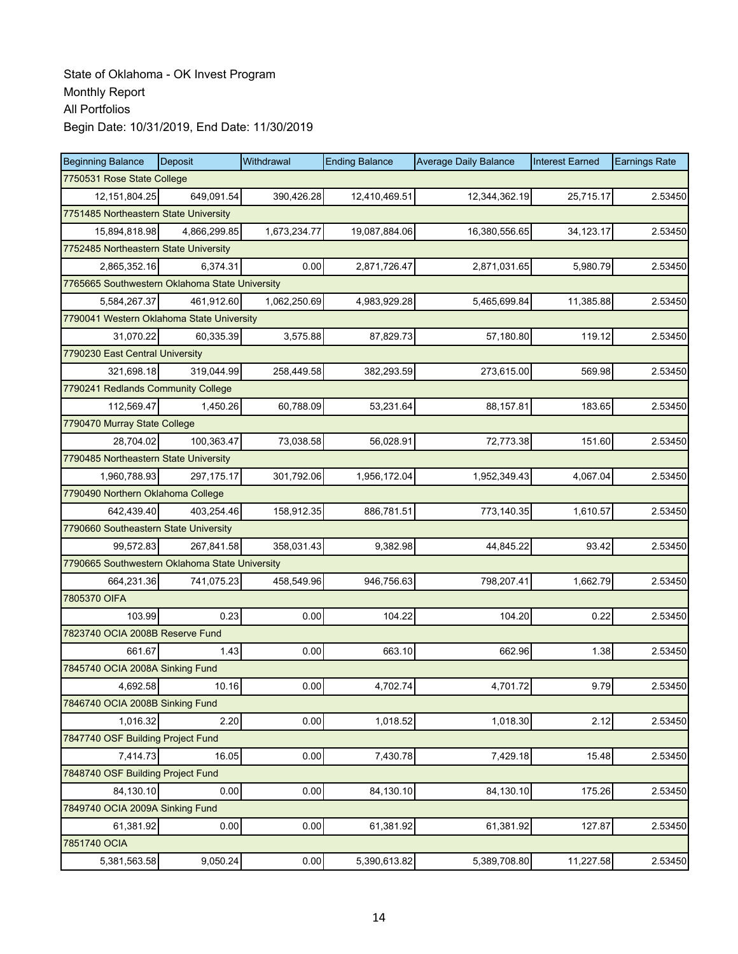| <b>Beginning Balance</b>                       | Deposit      | Withdrawal   | <b>Ending Balance</b> | <b>Average Daily Balance</b> | <b>Interest Earned</b> | <b>Earnings Rate</b> |  |  |
|------------------------------------------------|--------------|--------------|-----------------------|------------------------------|------------------------|----------------------|--|--|
| 7750531 Rose State College                     |              |              |                       |                              |                        |                      |  |  |
| 12,151,804.25                                  | 649,091.54   | 390,426.28   | 12,410,469.51         | 12,344,362.19                | 25,715.17              | 2.53450              |  |  |
| 7751485 Northeastern State University          |              |              |                       |                              |                        |                      |  |  |
| 15,894,818.98                                  | 4,866,299.85 | 1,673,234.77 | 19,087,884.06         | 16,380,556.65                | 34,123.17              | 2.53450              |  |  |
| 7752485 Northeastern State University          |              |              |                       |                              |                        |                      |  |  |
| 2,865,352.16                                   | 6,374.31     | 0.00         | 2,871,726.47          | 2,871,031.65                 | 5,980.79               | 2.53450              |  |  |
| 7765665 Southwestern Oklahoma State University |              |              |                       |                              |                        |                      |  |  |
| 5,584,267.37                                   | 461,912.60   | 1,062,250.69 | 4,983,929.28          | 5,465,699.84                 | 11,385.88              | 2.53450              |  |  |
| 7790041 Western Oklahoma State University      |              |              |                       |                              |                        |                      |  |  |
| 31,070.22                                      | 60,335.39    | 3,575.88     | 87,829.73             | 57,180.80                    | 119.12                 | 2.53450              |  |  |
| 7790230 East Central University                |              |              |                       |                              |                        |                      |  |  |
| 321,698.18                                     | 319,044.99   | 258,449.58   | 382,293.59            | 273,615.00                   | 569.98                 | 2.53450              |  |  |
| 7790241 Redlands Community College             |              |              |                       |                              |                        |                      |  |  |
| 112,569.47                                     | 1,450.26     | 60,788.09    | 53,231.64             | 88,157.81                    | 183.65                 | 2.53450              |  |  |
| 7790470 Murray State College                   |              |              |                       |                              |                        |                      |  |  |
| 28,704.02                                      | 100,363.47   | 73,038.58    | 56,028.91             | 72,773.38                    | 151.60                 | 2.53450              |  |  |
| 7790485 Northeastern State University          |              |              |                       |                              |                        |                      |  |  |
| 1,960,788.93                                   | 297.175.17   | 301,792.06   | 1,956,172.04          | 1,952,349.43                 | 4,067.04               | 2.53450              |  |  |
| 7790490 Northern Oklahoma College              |              |              |                       |                              |                        |                      |  |  |
| 642,439.40                                     | 403,254.46   | 158,912.35   | 886,781.51            | 773,140.35                   | 1,610.57               | 2.53450              |  |  |
| 7790660 Southeastern State University          |              |              |                       |                              |                        |                      |  |  |
| 99,572.83                                      | 267,841.58   | 358,031.43   | 9,382.98              | 44,845.22                    | 93.42                  | 2.53450              |  |  |
| 7790665 Southwestern Oklahoma State University |              |              |                       |                              |                        |                      |  |  |
| 664,231.36                                     | 741,075.23   | 458,549.96   | 946,756.63            | 798,207.41                   | 1,662.79               | 2.53450              |  |  |
| 7805370 OIFA                                   |              |              |                       |                              |                        |                      |  |  |
| 103.99                                         | 0.23         | 0.00         | 104.22                | 104.20                       | 0.22                   | 2.53450              |  |  |
| 7823740 OCIA 2008B Reserve Fund                |              |              |                       |                              |                        |                      |  |  |
| 661.67                                         | 1.43         | 0.00         | 663.10                | 662.96                       | 1.38                   | 2.53450              |  |  |
| 7845740 OCIA 2008A Sinking Fund                |              |              |                       |                              |                        |                      |  |  |
| 4,692.58                                       | 10.16        | 0.00         | 4,702.74              | 4,701.72                     | 9.79                   | 2.53450              |  |  |
| 7846740 OCIA 2008B Sinking Fund                |              |              |                       |                              |                        |                      |  |  |
| 1,016.32                                       | 2.20         | 0.00         | 1,018.52              | 1,018.30                     | 2.12                   | 2.53450              |  |  |
| 7847740 OSF Building Project Fund              |              |              |                       |                              |                        |                      |  |  |
| 7,414.73                                       | 16.05        | 0.00         | 7,430.78              | 7,429.18                     | 15.48                  | 2.53450              |  |  |
| 7848740 OSF Building Project Fund              |              |              |                       |                              |                        |                      |  |  |
| 84,130.10                                      | 0.00         | 0.00         | 84,130.10             | 84,130.10                    | 175.26                 | 2.53450              |  |  |
| 7849740 OCIA 2009A Sinking Fund                |              |              |                       |                              |                        |                      |  |  |
| 61,381.92                                      | 0.00         | 0.00         | 61,381.92             | 61,381.92                    | 127.87                 | 2.53450              |  |  |
| 7851740 OCIA                                   |              |              |                       |                              |                        |                      |  |  |
| 5,381,563.58                                   | 9,050.24     | 0.00         | 5,390,613.82          | 5,389,708.80                 | 11,227.58              | 2.53450              |  |  |